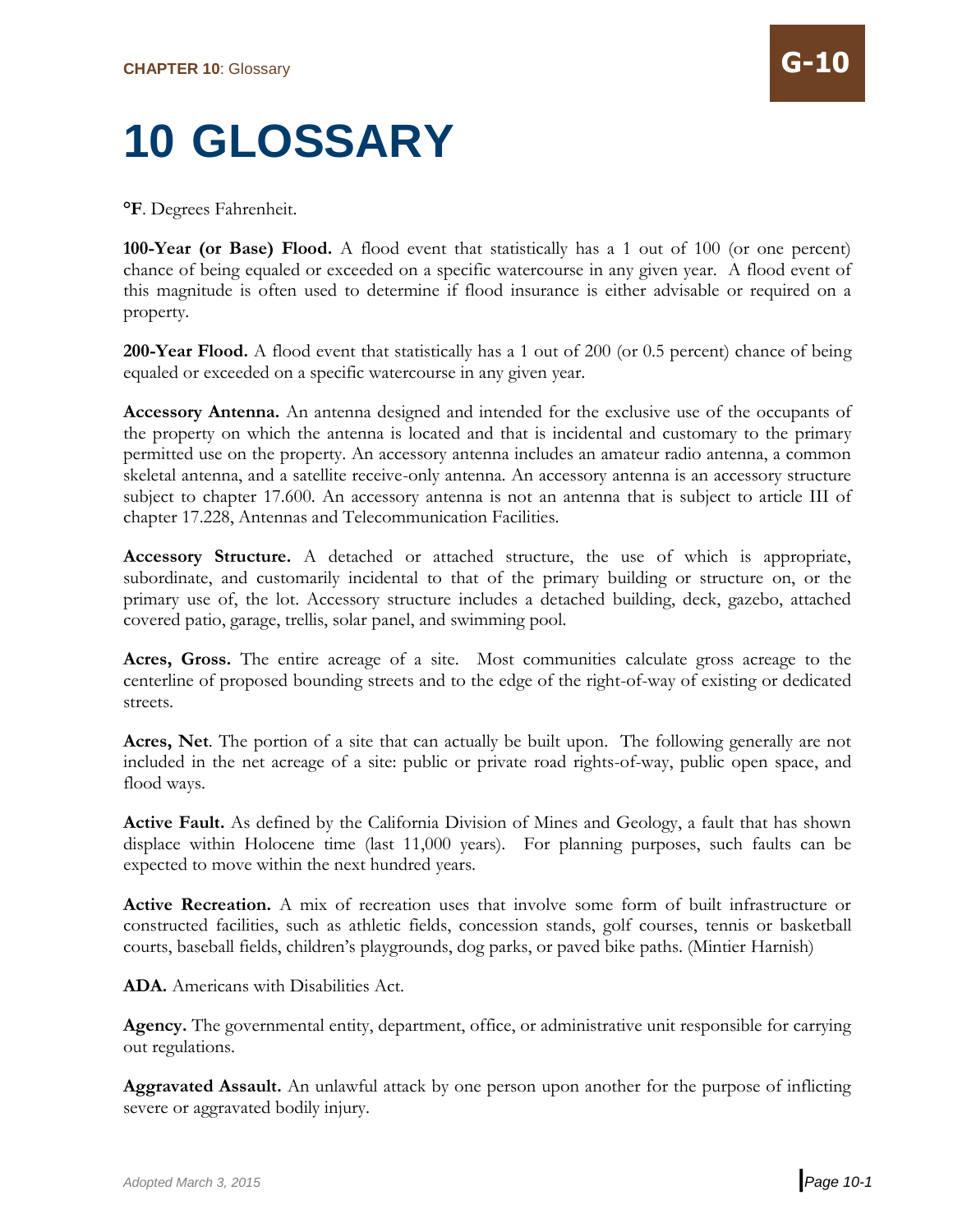## **10 GLOSSARY**

**°F**. Degrees Fahrenheit.

**100-Year (or Base) Flood.** A flood event that statistically has a 1 out of 100 (or one percent) chance of being equaled or exceeded on a specific watercourse in any given year. A flood event of this magnitude is often used to determine if flood insurance is either advisable or required on a property.

**200-Year Flood.** A flood event that statistically has a 1 out of 200 (or 0.5 percent) chance of being equaled or exceeded on a specific watercourse in any given year.

**Accessory Antenna.** An antenna designed and intended for the exclusive use of the occupants of the property on which the antenna is located and that is incidental and customary to the primary permitted use on the property. An accessory antenna includes an amateur radio antenna, a common skeletal antenna, and a satellite receive-only antenna. An accessory antenna is an accessory structure subject to chapter 17.600. An accessory antenna is not an antenna that is subject to article III of chapter 17.228, Antennas and Telecommunication Facilities.

**Accessory Structure.** A detached or attached structure, the use of which is appropriate, subordinate, and customarily incidental to that of the primary building or structure on, or the primary use of, the lot. Accessory structure includes a detached building, deck, gazebo, attached covered patio, garage, trellis, solar panel, and swimming pool.

**Acres, Gross.** The entire acreage of a site. Most communities calculate gross acreage to the centerline of proposed bounding streets and to the edge of the right-of-way of existing or dedicated streets.

**Acres, Net**. The portion of a site that can actually be built upon. The following generally are not included in the net acreage of a site: public or private road rights-of-way, public open space, and flood ways.

**Active Fault.** As defined by the California Division of Mines and Geology, a fault that has shown displace within Holocene time (last 11,000 years). For planning purposes, such faults can be expected to move within the next hundred years.

**Active Recreation.** A mix of recreation uses that involve some form of built infrastructure or constructed facilities, such as athletic fields, concession stands, golf courses, tennis or basketball courts, baseball fields, children's playgrounds, dog parks, or paved bike paths. (Mintier Harnish)

**ADA.** Americans with Disabilities Act.

**Agency.** The governmental entity, department, office, or administrative unit responsible for carrying out regulations.

**Aggravated Assault.** An unlawful attack by one person upon another for the purpose of inflicting severe or aggravated bodily injury.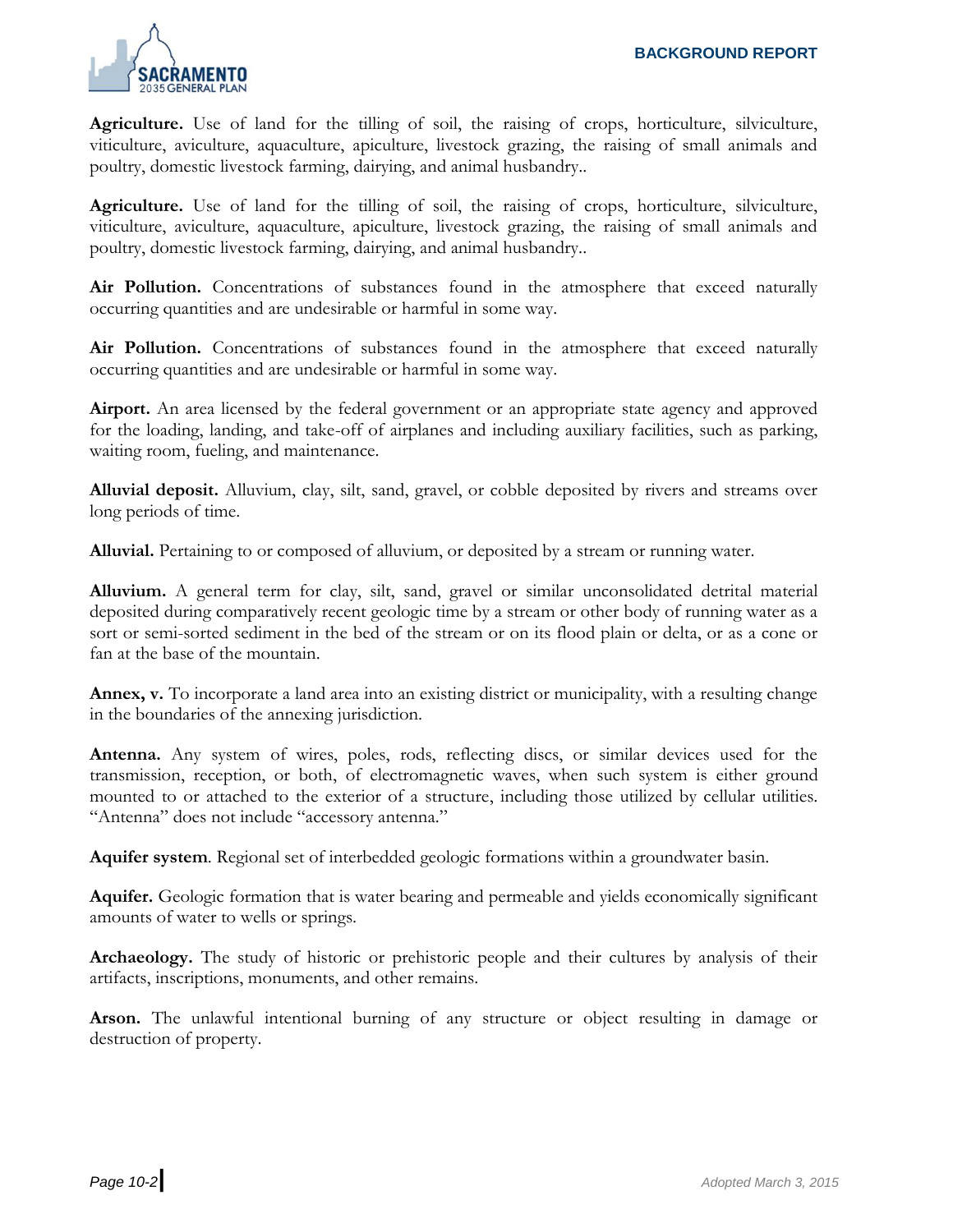

**Agriculture.** Use of land for the tilling of soil, the raising of crops, horticulture, silviculture, viticulture, aviculture, aquaculture, apiculture, livestock grazing, the raising of small animals and poultry, domestic livestock farming, dairying, and animal husbandry..

**Agriculture.** Use of land for the tilling of soil, the raising of crops, horticulture, silviculture, viticulture, aviculture, aquaculture, apiculture, livestock grazing, the raising of small animals and poultry, domestic livestock farming, dairying, and animal husbandry..

Air Pollution. Concentrations of substances found in the atmosphere that exceed naturally occurring quantities and are undesirable or harmful in some way.

**Air Pollution.** Concentrations of substances found in the atmosphere that exceed naturally occurring quantities and are undesirable or harmful in some way.

**Airport.** An area licensed by the federal government or an appropriate state agency and approved for the loading, landing, and take-off of airplanes and including auxiliary facilities, such as parking, waiting room, fueling, and maintenance.

**Alluvial deposit.** Alluvium, clay, silt, sand, gravel, or cobble deposited by rivers and streams over long periods of time.

**Alluvial.** Pertaining to or composed of alluvium, or deposited by a stream or running water.

**Alluvium.** A general term for clay, silt, sand, gravel or similar unconsolidated detrital material deposited during comparatively recent geologic time by a stream or other body of running water as a sort or semi-sorted sediment in the bed of the stream or on its flood plain or delta, or as a cone or fan at the base of the mountain.

**Annex, v.** To incorporate a land area into an existing district or municipality, with a resulting change in the boundaries of the annexing jurisdiction.

**Antenna.** Any system of wires, poles, rods, reflecting discs, or similar devices used for the transmission, reception, or both, of electromagnetic waves, when such system is either ground mounted to or attached to the exterior of a structure, including those utilized by cellular utilities. "Antenna" does not include "accessory antenna."

**Aquifer system**. Regional set of interbedded geologic formations within a groundwater basin.

**Aquifer.** Geologic formation that is water bearing and permeable and yields economically significant amounts of water to wells or springs.

**Archaeology.** The study of historic or prehistoric people and their cultures by analysis of their artifacts, inscriptions, monuments, and other remains.

**Arson.** The unlawful intentional burning of any structure or object resulting in damage or destruction of property.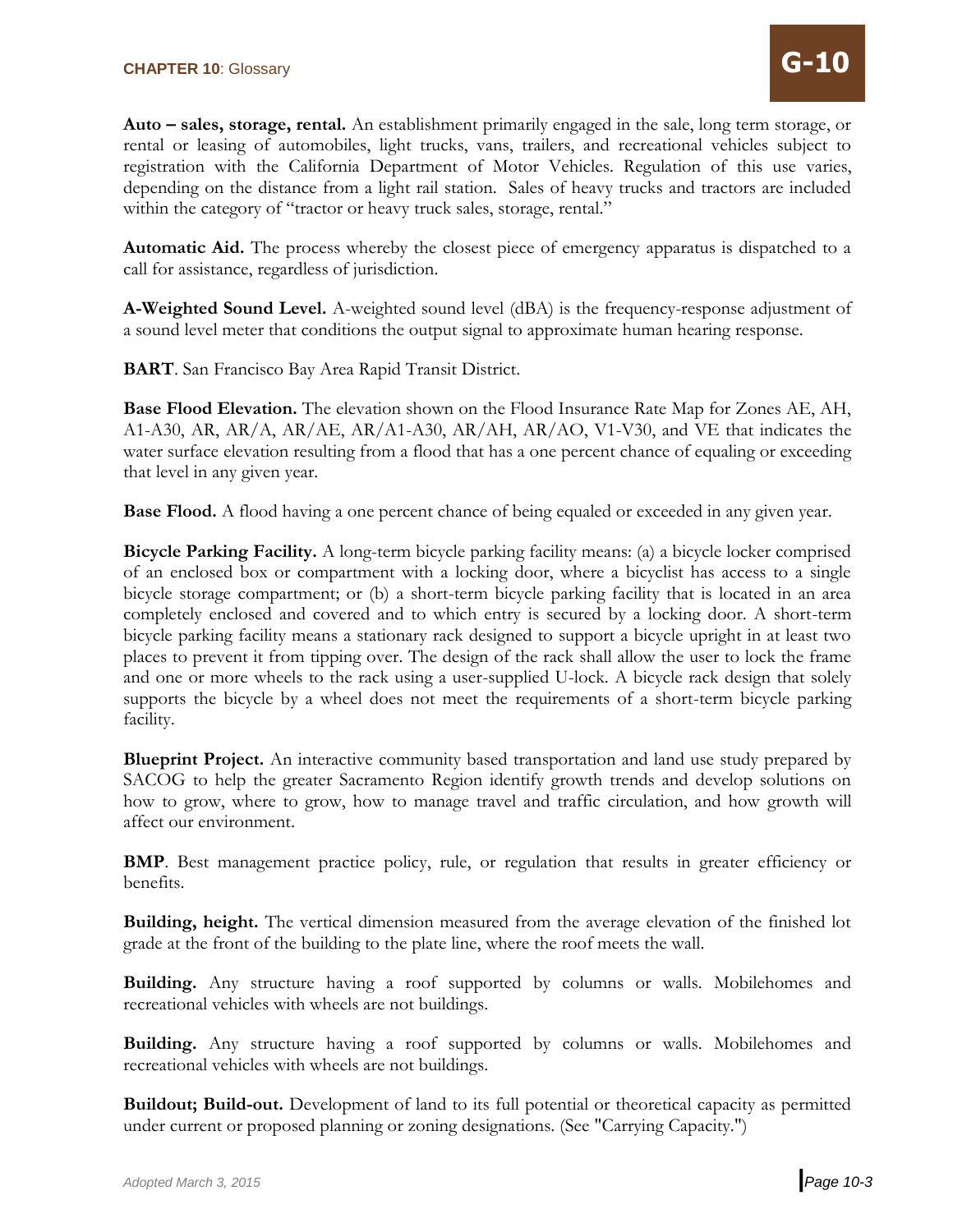**Auto – sales, storage, rental.** An establishment primarily engaged in the sale, long term storage, or rental or leasing of automobiles, light trucks, vans, trailers, and recreational vehicles subject to registration with the California Department of Motor Vehicles. Regulation of this use varies, depending on the distance from a light rail station. Sales of heavy trucks and tractors are included within the category of "tractor or heavy truck sales, storage, rental."

**Automatic Aid.** The process whereby the closest piece of emergency apparatus is dispatched to a call for assistance, regardless of jurisdiction.

**A-Weighted Sound Level.** A-weighted sound level (dBA) is the frequency-response adjustment of a sound level meter that conditions the output signal to approximate human hearing response.

**BART**. San Francisco Bay Area Rapid Transit District.

**Base Flood Elevation.** The elevation shown on the Flood Insurance Rate Map for Zones AE, AH, A1-A30, AR, AR/A, AR/AE, AR/A1-A30, AR/AH, AR/AO, V1-V30, and VE that indicates the water surface elevation resulting from a flood that has a one percent chance of equaling or exceeding that level in any given year.

**Base Flood.** A flood having a one percent chance of being equaled or exceeded in any given year.

**Bicycle Parking Facility.** A long-term bicycle parking facility means: (a) a bicycle locker comprised of an enclosed box or compartment with a locking door, where a bicyclist has access to a single bicycle storage compartment; or (b) a short-term bicycle parking facility that is located in an area completely enclosed and covered and to which entry is secured by a locking door. A short-term bicycle parking facility means a stationary rack designed to support a bicycle upright in at least two places to prevent it from tipping over. The design of the rack shall allow the user to lock the frame and one or more wheels to the rack using a user-supplied U-lock. A bicycle rack design that solely supports the bicycle by a wheel does not meet the requirements of a short-term bicycle parking facility.

**Blueprint Project.** An interactive community based transportation and land use study prepared by SACOG to help the greater Sacramento Region identify growth trends and develop solutions on how to grow, where to grow, how to manage travel and traffic circulation, and how growth will affect our environment.

**BMP.** Best management practice policy, rule, or regulation that results in greater efficiency or benefits.

**Building, height.** The vertical dimension measured from the average elevation of the finished lot grade at the front of the building to the plate line, where the roof meets the wall.

**Building.** Any structure having a roof supported by columns or walls. Mobilehomes and recreational vehicles with wheels are not buildings.

**Building.** Any structure having a roof supported by columns or walls. Mobilehomes and recreational vehicles with wheels are not buildings.

**Buildout; Build-out.** Development of land to its full potential or theoretical capacity as permitted under current or proposed planning or zoning designations. (See "Carrying Capacity.")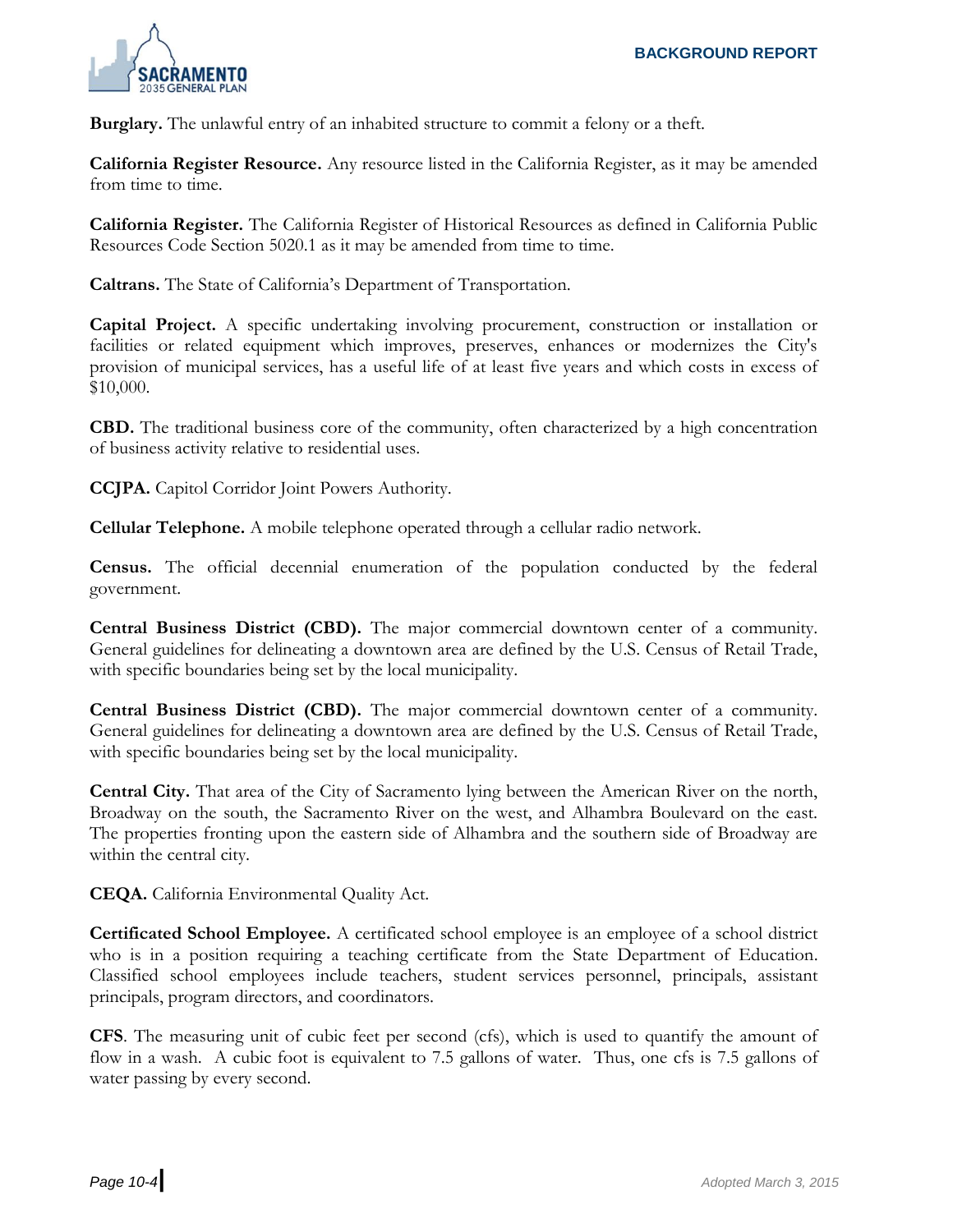

**Burglary.** The unlawful entry of an inhabited structure to commit a felony or a theft.

**California Register Resource.** Any resource listed in the California Register, as it may be amended from time to time.

**California Register.** The California Register of Historical Resources as defined in California Public Resources Code Section 5020.1 as it may be amended from time to time.

**Caltrans.** The State of California's Department of Transportation.

**Capital Project.** A specific undertaking involving procurement, construction or installation or facilities or related equipment which improves, preserves, enhances or modernizes the City's provision of municipal services, has a useful life of at least five years and which costs in excess of \$10,000.

**CBD.** The traditional business core of the community, often characterized by a high concentration of business activity relative to residential uses.

**CCJPA.** Capitol Corridor Joint Powers Authority.

**Cellular Telephone.** A mobile telephone operated through a cellular radio network.

**Census.** The official decennial enumeration of the population conducted by the federal government.

**Central Business District (CBD).** The major commercial downtown center of a community. General guidelines for delineating a downtown area are defined by the U.S. Census of Retail Trade, with specific boundaries being set by the local municipality.

**Central Business District (CBD).** The major commercial downtown center of a community. General guidelines for delineating a downtown area are defined by the U.S. Census of Retail Trade, with specific boundaries being set by the local municipality.

**Central City.** That area of the City of Sacramento lying between the American River on the north, Broadway on the south, the Sacramento River on the west, and Alhambra Boulevard on the east. The properties fronting upon the eastern side of Alhambra and the southern side of Broadway are within the central city.

**CEQA.** California Environmental Quality Act.

**Certificated School Employee.** A certificated school employee is an employee of a school district who is in a position requiring a teaching certificate from the State Department of Education. Classified school employees include teachers, student services personnel, principals, assistant principals, program directors, and coordinators.

**CFS**. The measuring unit of cubic feet per second (cfs), which is used to quantify the amount of flow in a wash. A cubic foot is equivalent to 7.5 gallons of water. Thus, one cfs is 7.5 gallons of water passing by every second.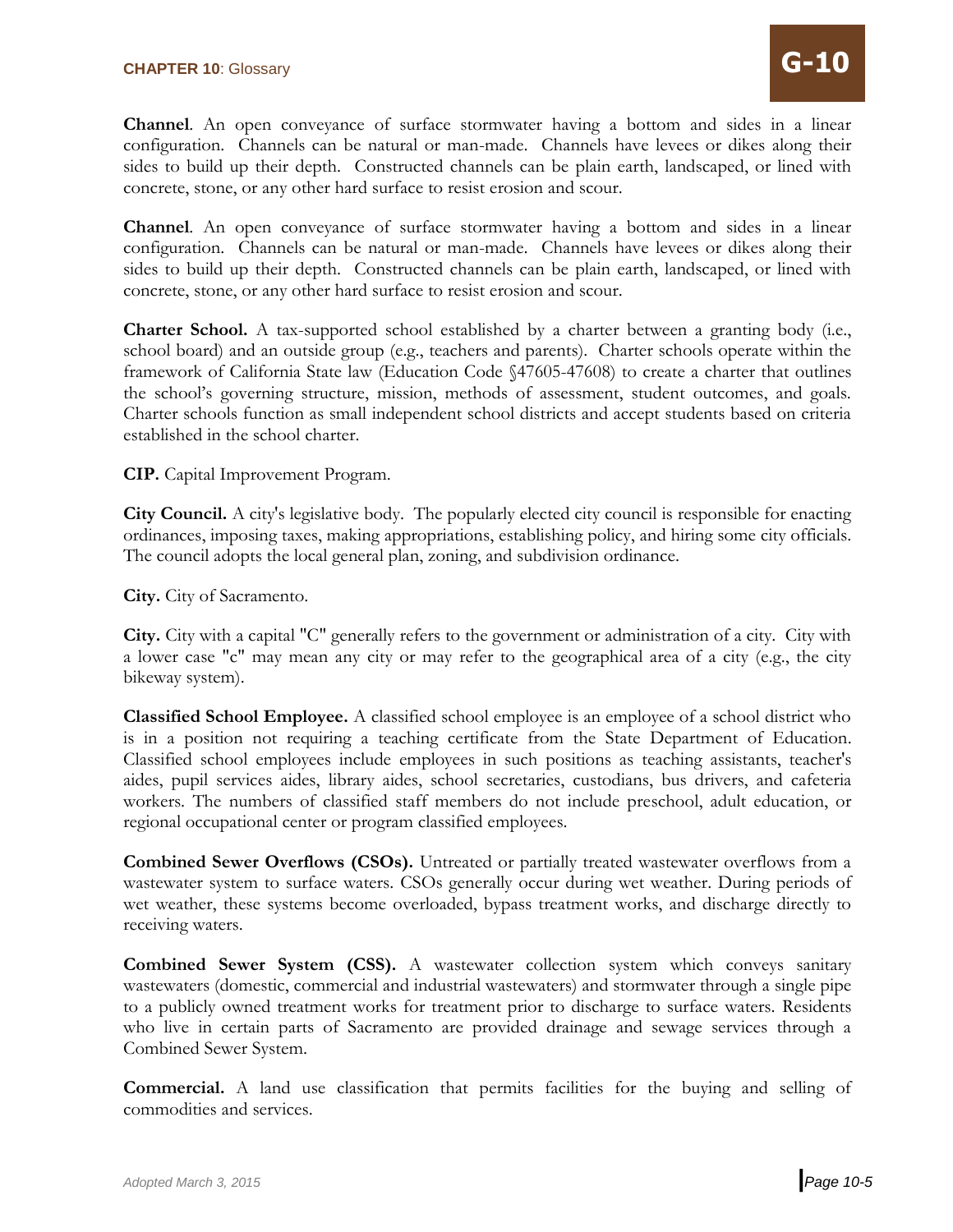**Channel**. An open conveyance of surface stormwater having a bottom and sides in a linear configuration. Channels can be natural or man-made. Channels have levees or dikes along their sides to build up their depth. Constructed channels can be plain earth, landscaped, or lined with concrete, stone, or any other hard surface to resist erosion and scour.

**Channel**. An open conveyance of surface stormwater having a bottom and sides in a linear configuration. Channels can be natural or man-made. Channels have levees or dikes along their sides to build up their depth. Constructed channels can be plain earth, landscaped, or lined with concrete, stone, or any other hard surface to resist erosion and scour.

**Charter School.** A tax-supported school established by a charter between a granting body (i.e., school board) and an outside group (e.g., teachers and parents). Charter schools operate within the framework of California State law (Education Code §47605-47608) to create a charter that outlines the school's governing structure, mission, methods of assessment, student outcomes, and goals. Charter schools function as small independent school districts and accept students based on criteria established in the school charter.

**CIP.** Capital Improvement Program.

**City Council.** A city's legislative body. The popularly elected city council is responsible for enacting ordinances, imposing taxes, making appropriations, establishing policy, and hiring some city officials. The council adopts the local general plan, zoning, and subdivision ordinance.

**City.** City of Sacramento.

**City.** City with a capital "C" generally refers to the government or administration of a city. City with a lower case "c" may mean any city or may refer to the geographical area of a city (e.g., the city bikeway system).

**Classified School Employee.** A classified school employee is an employee of a school district who is in a position not requiring a teaching certificate from the State Department of Education. Classified school employees include employees in such positions as teaching assistants, teacher's aides, pupil services aides, library aides, school secretaries, custodians, bus drivers, and cafeteria workers. The numbers of classified staff members do not include preschool, adult education, or regional occupational center or program classified employees.

**Combined Sewer Overflows (CSOs).** Untreated or partially treated wastewater overflows from a wastewater system to surface waters. CSOs generally occur during wet weather. During periods of wet weather, these systems become overloaded, bypass treatment works, and discharge directly to receiving waters.

**Combined Sewer System (CSS).** A wastewater collection system which conveys sanitary wastewaters (domestic, commercial and industrial wastewaters) and stormwater through a single pipe to a publicly owned treatment works for treatment prior to discharge to surface waters. Residents who live in certain parts of Sacramento are provided drainage and sewage services through a Combined Sewer System.

**Commercial.** A land use classification that permits facilities for the buying and selling of commodities and services.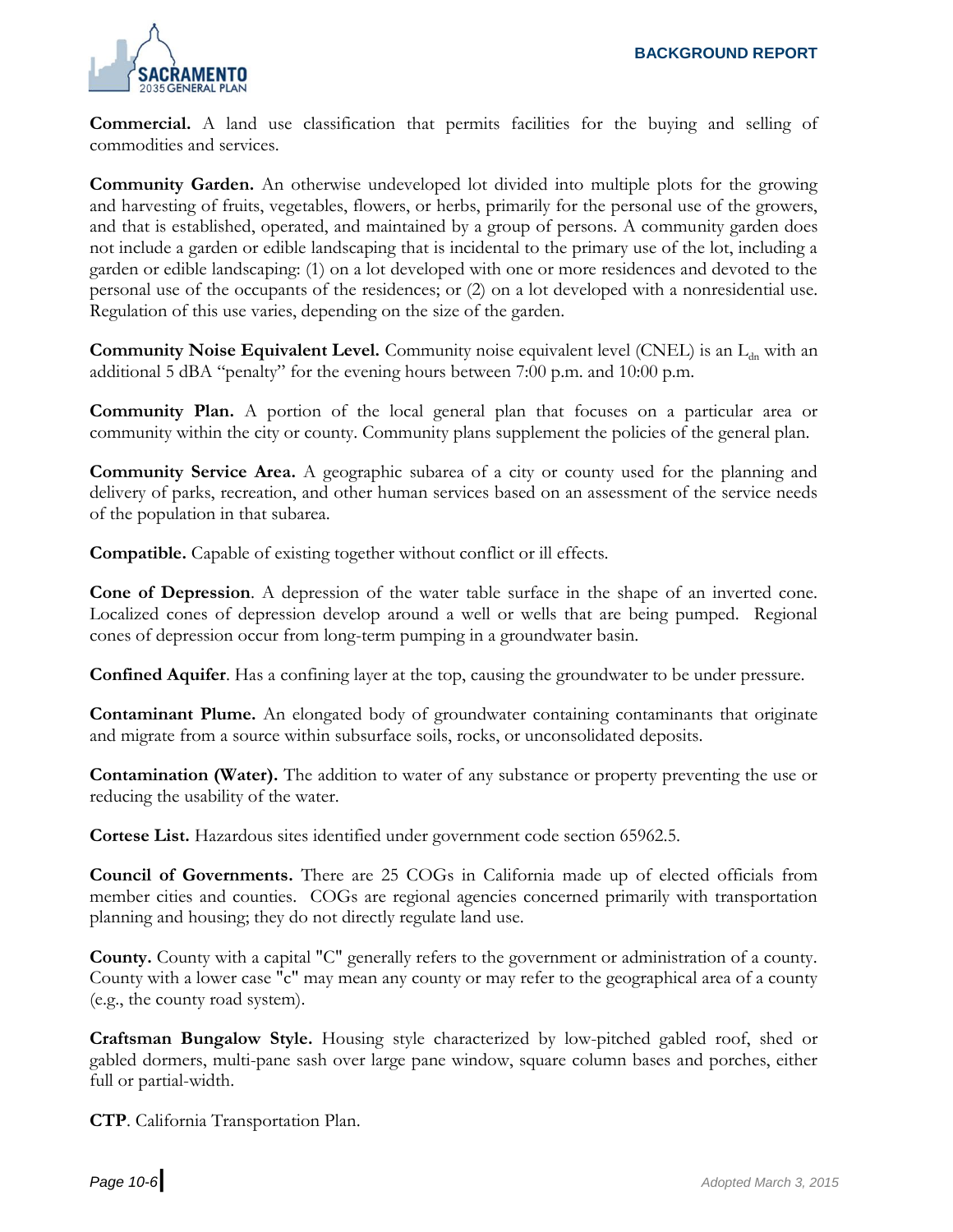

**Commercial.** A land use classification that permits facilities for the buying and selling of commodities and services.

**Community Garden.** An otherwise undeveloped lot divided into multiple plots for the growing and harvesting of fruits, vegetables, flowers, or herbs, primarily for the personal use of the growers, and that is established, operated, and maintained by a group of persons. A community garden does not include a garden or edible landscaping that is incidental to the primary use of the lot, including a garden or edible landscaping: (1) on a lot developed with one or more residences and devoted to the personal use of the occupants of the residences; or (2) on a lot developed with a nonresidential use. Regulation of this use varies, depending on the size of the garden.

**Community Noise Equivalent Level.** Community noise equivalent level (CNEL) is an L<sub>dn</sub> with an additional 5 dBA "penalty" for the evening hours between 7:00 p.m. and 10:00 p.m.

**Community Plan.** A portion of the local general plan that focuses on a particular area or community within the city or county. Community plans supplement the policies of the general plan.

**Community Service Area.** A geographic subarea of a city or county used for the planning and delivery of parks, recreation, and other human services based on an assessment of the service needs of the population in that subarea.

**Compatible.** Capable of existing together without conflict or ill effects.

**Cone of Depression**. A depression of the water table surface in the shape of an inverted cone. Localized cones of depression develop around a well or wells that are being pumped. Regional cones of depression occur from long-term pumping in a groundwater basin.

**Confined Aquifer**. Has a confining layer at the top, causing the groundwater to be under pressure.

**Contaminant Plume.** An elongated body of groundwater containing contaminants that originate and migrate from a source within subsurface soils, rocks, or unconsolidated deposits.

**Contamination (Water).** The addition to water of any substance or property preventing the use or reducing the usability of the water.

**Cortese List.** Hazardous sites identified under government code section 65962.5.

**Council of Governments.** There are 25 COGs in California made up of elected officials from member cities and counties. COGs are regional agencies concerned primarily with transportation planning and housing; they do not directly regulate land use.

**County.** County with a capital "C" generally refers to the government or administration of a county. County with a lower case "c" may mean any county or may refer to the geographical area of a county (e.g., the county road system).

**Craftsman Bungalow Style.** Housing style characterized by low-pitched gabled roof, shed or gabled dormers, multi-pane sash over large pane window, square column bases and porches, either full or partial-width.

**CTP**. California Transportation Plan.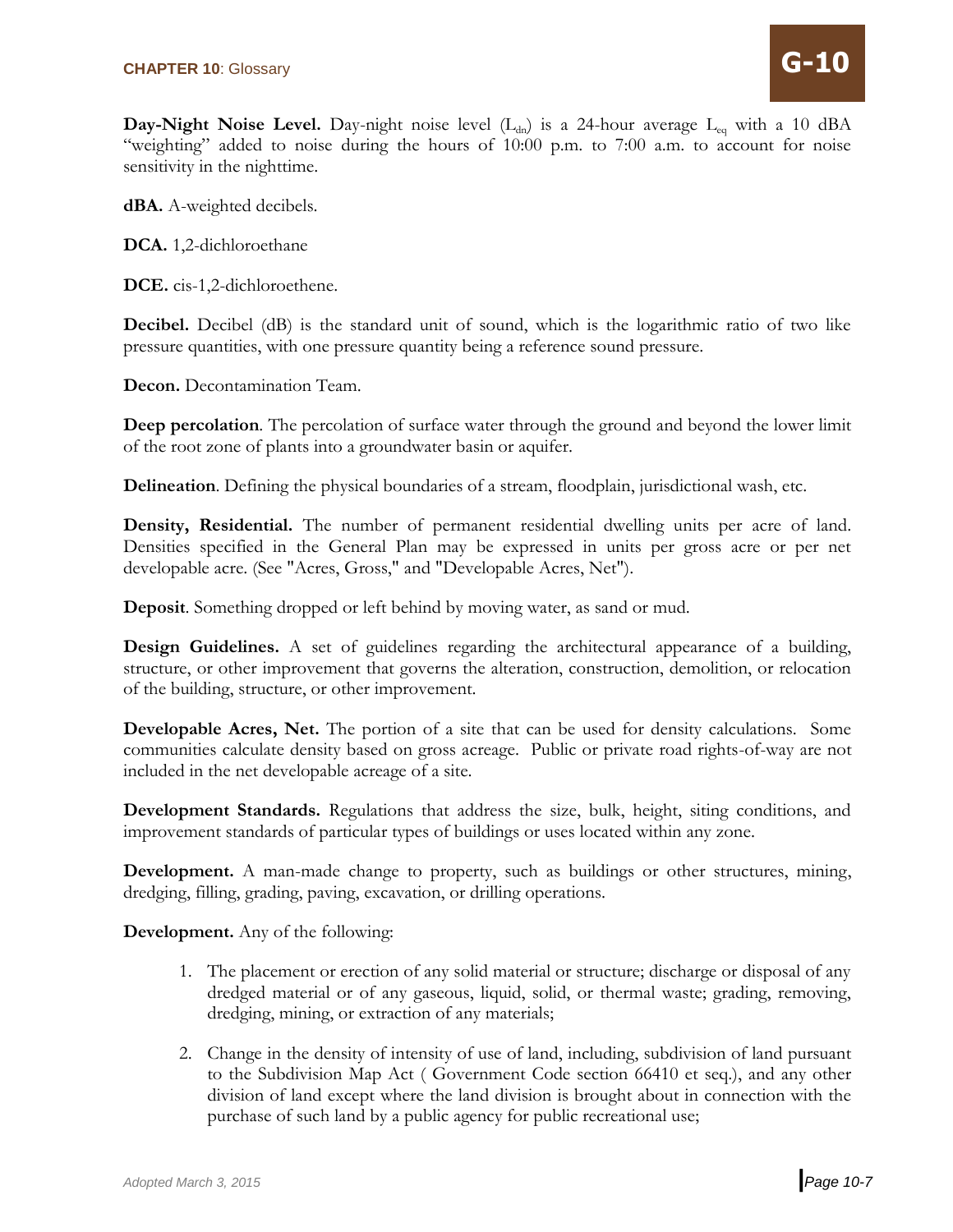Day-Night Noise Level. Day-night noise level (L<sub>dn</sub>) is a 24-hour average L<sub>eq</sub> with a 10 dBA "weighting" added to noise during the hours of 10:00 p.m. to 7:00 a.m. to account for noise sensitivity in the nighttime.

**dBA.** A-weighted decibels.

**DCA.** 1,2-dichloroethane

**DCE.** cis-1,2-dichloroethene.

**Decibel.** Decibel (dB) is the standard unit of sound, which is the logarithmic ratio of two like pressure quantities, with one pressure quantity being a reference sound pressure.

**Decon.** Decontamination Team.

**Deep percolation**. The percolation of surface water through the ground and beyond the lower limit of the root zone of plants into a groundwater basin or aquifer.

**Delineation**. Defining the physical boundaries of a stream, floodplain, jurisdictional wash, etc.

**Density, Residential.** The number of permanent residential dwelling units per acre of land. Densities specified in the General Plan may be expressed in units per gross acre or per net developable acre. (See "Acres, Gross," and "Developable Acres, Net").

**Deposit**. Something dropped or left behind by moving water, as sand or mud.

**Design Guidelines.** A set of guidelines regarding the architectural appearance of a building, structure, or other improvement that governs the alteration, construction, demolition, or relocation of the building, structure, or other improvement.

**Developable Acres, Net.** The portion of a site that can be used for density calculations. Some communities calculate density based on gross acreage. Public or private road rights-of-way are not included in the net developable acreage of a site.

**Development Standards.** Regulations that address the size, bulk, height, siting conditions, and improvement standards of particular types of buildings or uses located within any zone.

**Development.** A man-made change to property, such as buildings or other structures, mining, dredging, filling, grading, paving, excavation, or drilling operations.

**Development.** Any of the following:

- 1. The placement or erection of any solid material or structure; discharge or disposal of any dredged material or of any gaseous, liquid, solid, or thermal waste; grading, removing, dredging, mining, or extraction of any materials;
- 2. Change in the density of intensity of use of land, including, subdivision of land pursuant to the Subdivision Map Act ( Government Code section 66410 et seq.), and any other division of land except where the land division is brought about in connection with the purchase of such land by a public agency for public recreational use;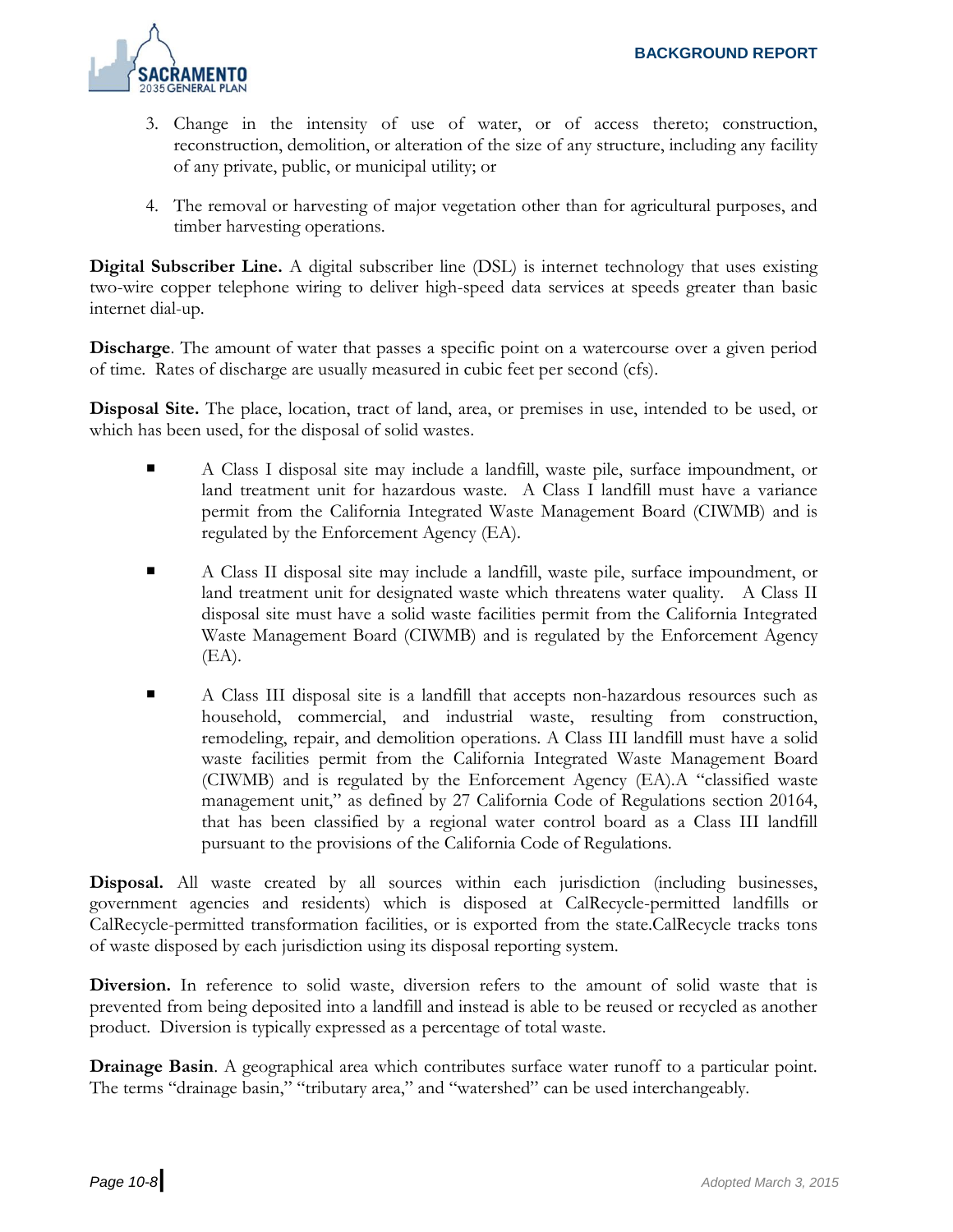

- 3. Change in the intensity of use of water, or of access thereto; construction, reconstruction, demolition, or alteration of the size of any structure, including any facility of any private, public, or municipal utility; or
- 4. The removal or harvesting of major vegetation other than for agricultural purposes, and timber harvesting operations.

**Digital Subscriber Line.** A digital subscriber line (DSL) is internet technology that uses existing two-wire copper telephone wiring to deliver high-speed data services at speeds greater than basic internet dial-up.

**Discharge**. The amount of water that passes a specific point on a watercourse over a given period of time. Rates of discharge are usually measured in cubic feet per second (cfs).

**Disposal Site.** The place, location, tract of land, area, or premises in use, intended to be used, or which has been used, for the disposal of solid wastes.

- A Class I disposal site may include a landfill, waste pile, surface impoundment, or land treatment unit for hazardous waste. A Class I landfill must have a variance permit from the California Integrated Waste Management Board (CIWMB) and is regulated by the Enforcement Agency (EA).
- A Class II disposal site may include a landfill, waste pile, surface impoundment, or land treatment unit for designated waste which threatens water quality. A Class II disposal site must have a solid waste facilities permit from the California Integrated Waste Management Board (CIWMB) and is regulated by the Enforcement Agency (EA).
- A Class III disposal site is a landfill that accepts non-hazardous resources such as household, commercial, and industrial waste, resulting from construction, remodeling, repair, and demolition operations. A Class III landfill must have a solid waste facilities permit from the California Integrated Waste Management Board (CIWMB) and is regulated by the Enforcement Agency (EA).A "classified waste management unit," as defined by 27 California Code of Regulations section 20164, that has been classified by a regional water control board as a Class III landfill pursuant to the provisions of the California Code of Regulations.

**Disposal.** All waste created by all sources within each jurisdiction (including businesses, government agencies and residents) which is disposed at CalRecycle-permitted landfills or CalRecycle-permitted transformation facilities, or is exported from the state.CalRecycle tracks tons of waste disposed by each jurisdiction using its disposal reporting system.

**Diversion.** In reference to solid waste, diversion refers to the amount of solid waste that is prevented from being deposited into a landfill and instead is able to be reused or recycled as another product. Diversion is typically expressed as a percentage of total waste.

**Drainage Basin**. A geographical area which contributes surface water runoff to a particular point. The terms "drainage basin," "tributary area," and "watershed" can be used interchangeably.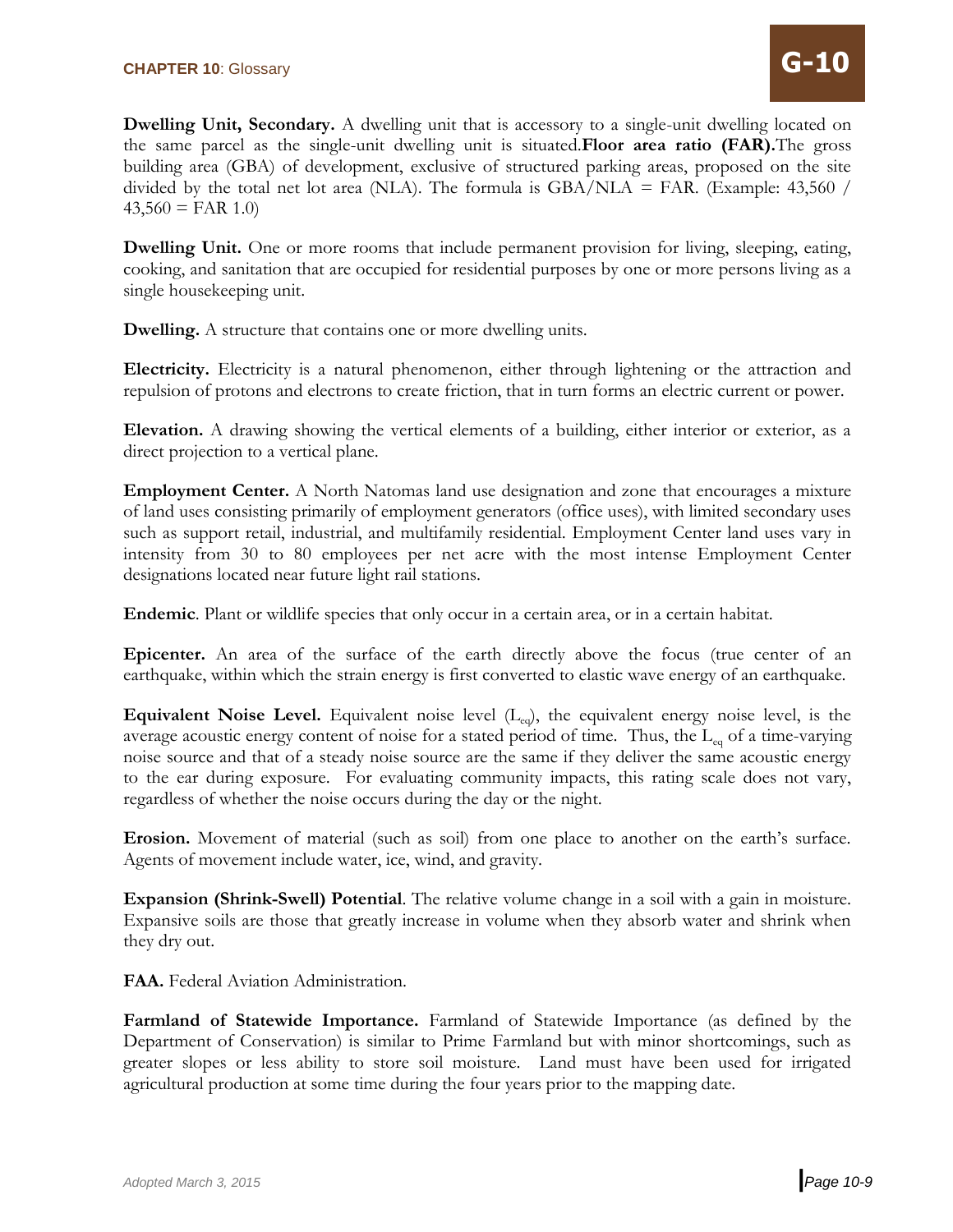**Dwelling Unit, Secondary.** A dwelling unit that is accessory to a single-unit dwelling located on the same parcel as the single-unit dwelling unit is situated.**Floor area ratio (FAR).**The gross building area (GBA) of development, exclusive of structured parking areas, proposed on the site divided by the total net lot area (NLA). The formula is  $GBA/NLA = FAR$ . (Example: 43,560 /  $43,560 = \text{FAR} 1.0$ 

**Dwelling Unit.** One or more rooms that include permanent provision for living, sleeping, eating, cooking, and sanitation that are occupied for residential purposes by one or more persons living as a single housekeeping unit.

**Dwelling.** A structure that contains one or more dwelling units.

**Electricity.** Electricity is a natural phenomenon, either through lightening or the attraction and repulsion of protons and electrons to create friction, that in turn forms an electric current or power.

**Elevation.** A drawing showing the vertical elements of a building, either interior or exterior, as a direct projection to a vertical plane.

**Employment Center.** A North Natomas land use designation and zone that encourages a mixture of land uses consisting primarily of employment generators (office uses), with limited secondary uses such as support retail, industrial, and multifamily residential. Employment Center land uses vary in intensity from 30 to 80 employees per net acre with the most intense Employment Center designations located near future light rail stations.

**Endemic**. Plant or wildlife species that only occur in a certain area, or in a certain habitat.

**Epicenter.** An area of the surface of the earth directly above the focus (true center of an earthquake, within which the strain energy is first converted to elastic wave energy of an earthquake.

**Equivalent Noise Level.** Equivalent noise level  $(L_{eq})$ , the equivalent energy noise level, is the average acoustic energy content of noise for a stated period of time. Thus, the  $L_{eq}$  of a time-varying noise source and that of a steady noise source are the same if they deliver the same acoustic energy to the ear during exposure. For evaluating community impacts, this rating scale does not vary, regardless of whether the noise occurs during the day or the night.

**Erosion.** Movement of material (such as soil) from one place to another on the earth's surface. Agents of movement include water, ice, wind, and gravity.

**Expansion (Shrink-Swell) Potential**. The relative volume change in a soil with a gain in moisture. Expansive soils are those that greatly increase in volume when they absorb water and shrink when they dry out.

**FAA.** Federal Aviation Administration.

**Farmland of Statewide Importance.** Farmland of Statewide Importance (as defined by the Department of Conservation) is similar to Prime Farmland but with minor shortcomings, such as greater slopes or less ability to store soil moisture. Land must have been used for irrigated agricultural production at some time during the four years prior to the mapping date.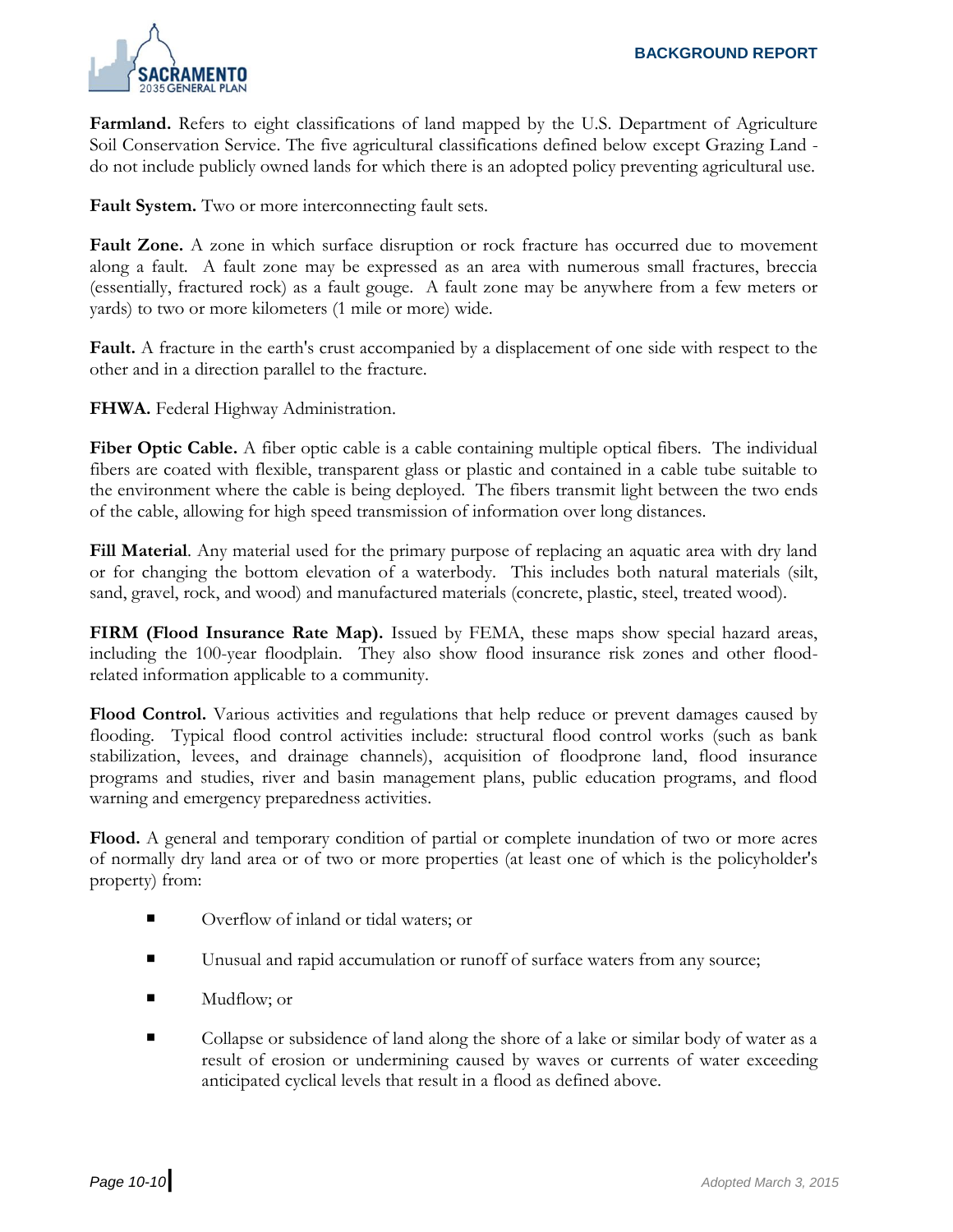

**Farmland.** Refers to eight classifications of land mapped by the U.S. Department of Agriculture Soil Conservation Service. The five agricultural classifications defined below except Grazing Land do not include publicly owned lands for which there is an adopted policy preventing agricultural use.

**Fault System.** Two or more interconnecting fault sets.

**Fault Zone.** A zone in which surface disruption or rock fracture has occurred due to movement along a fault. A fault zone may be expressed as an area with numerous small fractures, breccia (essentially, fractured rock) as a fault gouge. A fault zone may be anywhere from a few meters or yards) to two or more kilometers (1 mile or more) wide.

**Fault.** A fracture in the earth's crust accompanied by a displacement of one side with respect to the other and in a direction parallel to the fracture.

**FHWA.** Federal Highway Administration.

**Fiber Optic Cable.** A fiber optic cable is a cable containing multiple optical fibers. The individual fibers are coated with flexible, transparent glass or plastic and contained in a cable tube suitable to the environment where the cable is being deployed. The fibers transmit light between the two ends of the cable, allowing for high speed transmission of information over long distances.

**Fill Material**. Any material used for the primary purpose of replacing an aquatic area with dry land or for changing the bottom elevation of a waterbody. This includes both natural materials (silt, sand, gravel, rock, and wood) and manufactured materials (concrete, plastic, steel, treated wood).

**FIRM (Flood Insurance Rate Map).** Issued by FEMA, these maps show special hazard areas, including the 100-year floodplain. They also show flood insurance risk zones and other floodrelated information applicable to a community.

**Flood Control.** Various activities and regulations that help reduce or prevent damages caused by flooding. Typical flood control activities include: structural flood control works (such as bank stabilization, levees, and drainage channels), acquisition of floodprone land, flood insurance programs and studies, river and basin management plans, public education programs, and flood warning and emergency preparedness activities.

**Flood.** A general and temporary condition of partial or complete inundation of two or more acres of normally dry land area or of two or more properties (at least one of which is the policyholder's property) from:

- Overflow of inland or tidal waters; or
- Unusual and rapid accumulation or runoff of surface waters from any source;
- Mudflow; or
- Collapse or subsidence of land along the shore of a lake or similar body of water as a result of erosion or undermining caused by waves or currents of water exceeding anticipated cyclical levels that result in a flood as defined above.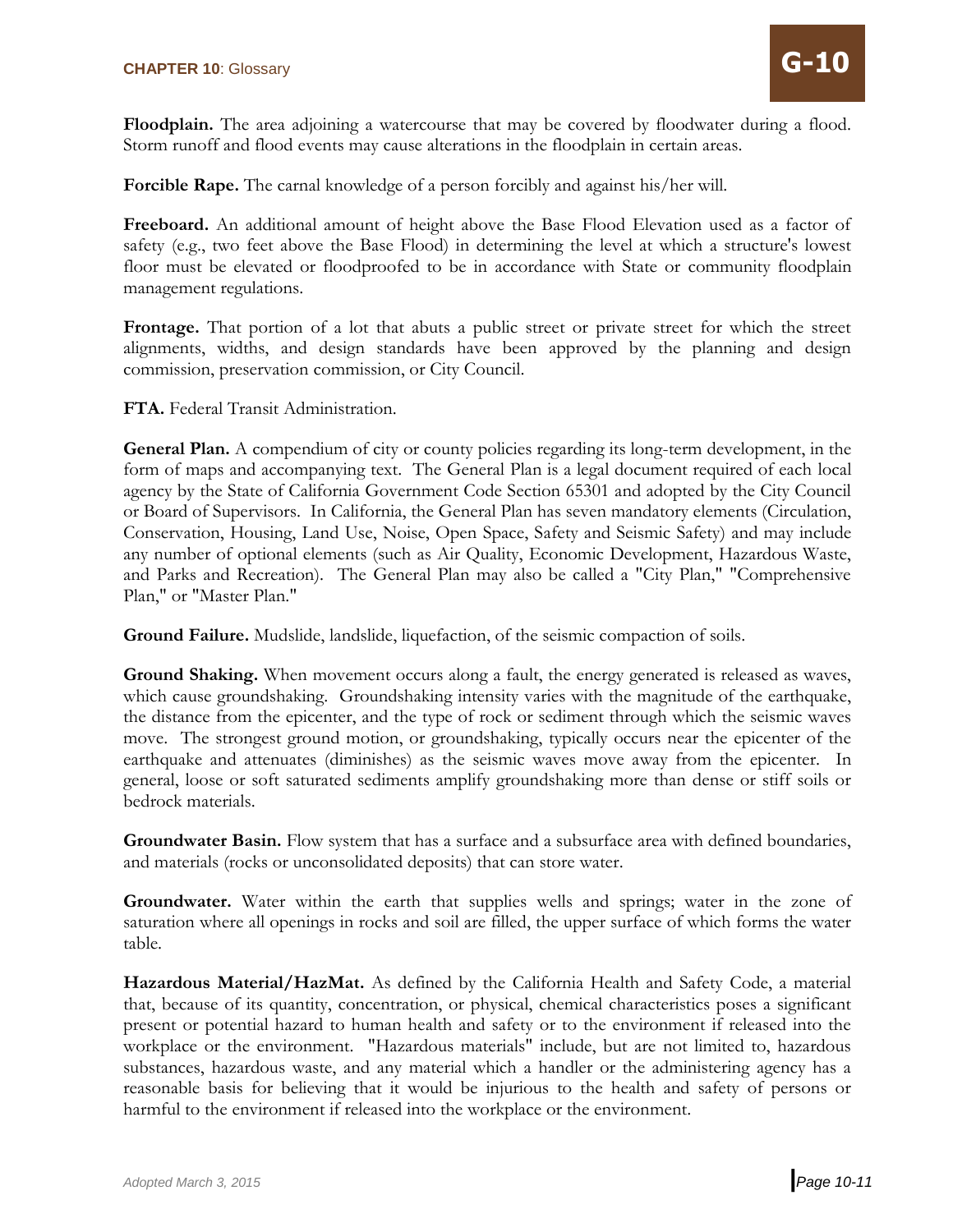**Floodplain.** The area adjoining a watercourse that may be covered by floodwater during a flood. Storm runoff and flood events may cause alterations in the floodplain in certain areas.

**Forcible Rape.** The carnal knowledge of a person forcibly and against his/her will.

**Freeboard.** An additional amount of height above the Base Flood Elevation used as a factor of safety (e.g., two feet above the Base Flood) in determining the level at which a structure's lowest floor must be elevated or floodproofed to be in accordance with State or community floodplain management regulations.

Frontage. That portion of a lot that abuts a public street or private street for which the street alignments, widths, and design standards have been approved by the planning and design commission, preservation commission, or City Council.

**FTA.** Federal Transit Administration.

**General Plan.** A compendium of city or county policies regarding its long-term development, in the form of maps and accompanying text. The General Plan is a legal document required of each local agency by the State of California Government Code Section 65301 and adopted by the City Council or Board of Supervisors. In California, the General Plan has seven mandatory elements (Circulation, Conservation, Housing, Land Use, Noise, Open Space, Safety and Seismic Safety) and may include any number of optional elements (such as Air Quality, Economic Development, Hazardous Waste, and Parks and Recreation). The General Plan may also be called a "City Plan," "Comprehensive Plan," or "Master Plan."

**Ground Failure.** Mudslide, landslide, liquefaction, of the seismic compaction of soils.

**Ground Shaking.** When movement occurs along a fault, the energy generated is released as waves, which cause groundshaking. Groundshaking intensity varies with the magnitude of the earthquake, the distance from the epicenter, and the type of rock or sediment through which the seismic waves move. The strongest ground motion, or groundshaking, typically occurs near the epicenter of the earthquake and attenuates (diminishes) as the seismic waves move away from the epicenter. In general, loose or soft saturated sediments amplify groundshaking more than dense or stiff soils or bedrock materials.

**Groundwater Basin.** Flow system that has a surface and a subsurface area with defined boundaries, and materials (rocks or unconsolidated deposits) that can store water.

**Groundwater.** Water within the earth that supplies wells and springs; water in the zone of saturation where all openings in rocks and soil are filled, the upper surface of which forms the water table.

**Hazardous Material/HazMat.** As defined by the California Health and Safety Code, a material that, because of its quantity, concentration, or physical, chemical characteristics poses a significant present or potential hazard to human health and safety or to the environment if released into the workplace or the environment. "Hazardous materials" include, but are not limited to, hazardous substances, hazardous waste, and any material which a handler or the administering agency has a reasonable basis for believing that it would be injurious to the health and safety of persons or harmful to the environment if released into the workplace or the environment.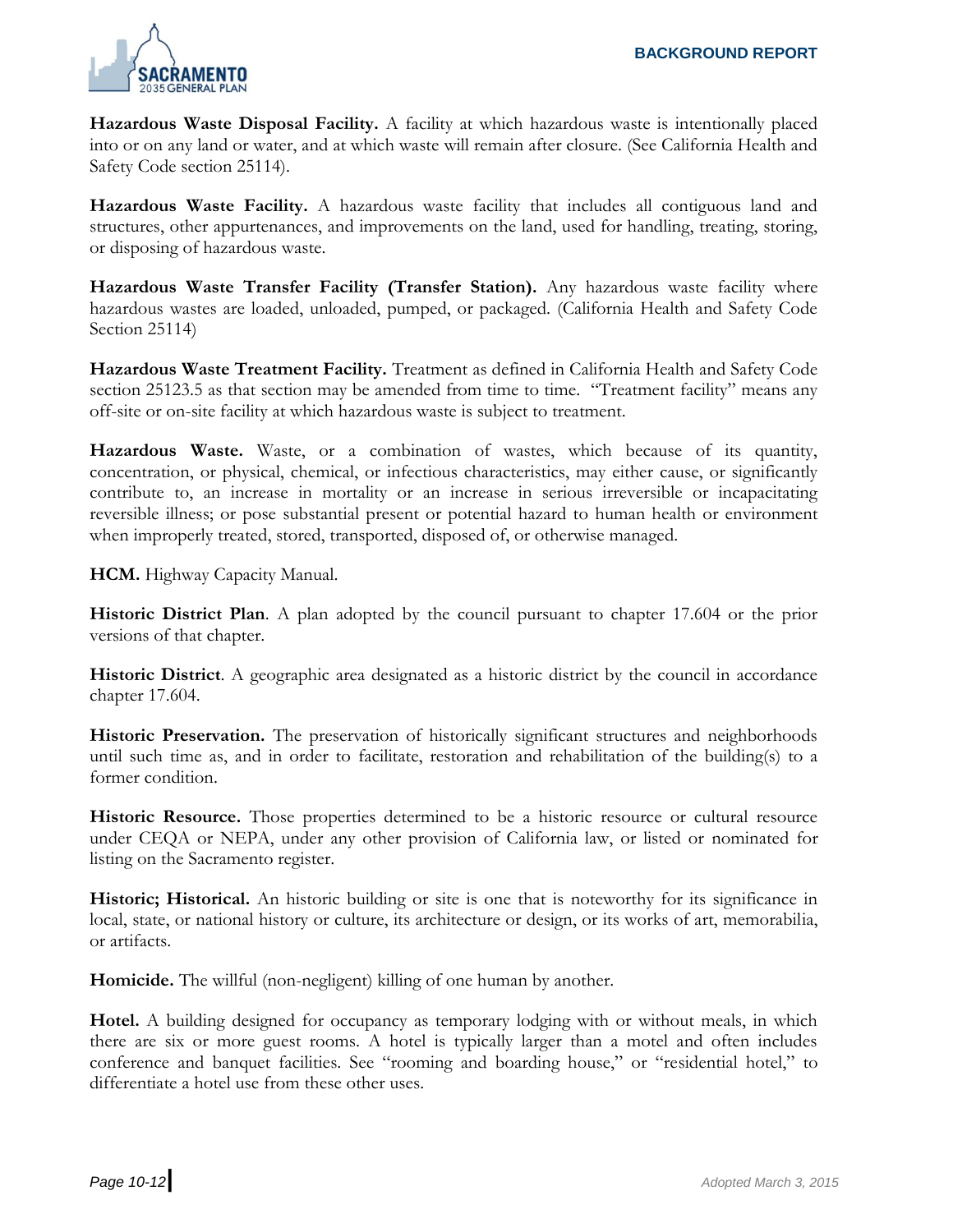

**Hazardous Waste Disposal Facility.** A facility at which hazardous waste is intentionally placed into or on any land or water, and at which waste will remain after closure. (See California Health and Safety Code section 25114).

**Hazardous Waste Facility.** A hazardous waste facility that includes all contiguous land and structures, other appurtenances, and improvements on the land, used for handling, treating, storing, or disposing of hazardous waste.

**Hazardous Waste Transfer Facility (Transfer Station).** Any hazardous waste facility where hazardous wastes are loaded, unloaded, pumped, or packaged. (California Health and Safety Code Section 25114)

**Hazardous Waste Treatment Facility.** Treatment as defined in California Health and Safety Code section 25123.5 as that section may be amended from time to time. "Treatment facility" means any off-site or on-site facility at which hazardous waste is subject to treatment.

**Hazardous Waste.** Waste, or a combination of wastes, which because of its quantity, concentration, or physical, chemical, or infectious characteristics, may either cause, or significantly contribute to, an increase in mortality or an increase in serious irreversible or incapacitating reversible illness; or pose substantial present or potential hazard to human health or environment when improperly treated, stored, transported, disposed of, or otherwise managed.

**HCM.** Highway Capacity Manual.

**Historic District Plan**. A plan adopted by the council pursuant to chapter 17.604 or the prior versions of that chapter.

**Historic District**. A geographic area designated as a historic district by the council in accordance chapter 17.604.

**Historic Preservation.** The preservation of historically significant structures and neighborhoods until such time as, and in order to facilitate, restoration and rehabilitation of the building(s) to a former condition.

**Historic Resource.** Those properties determined to be a historic resource or cultural resource under CEQA or NEPA, under any other provision of California law, or listed or nominated for listing on the Sacramento register.

**Historic; Historical.** An historic building or site is one that is noteworthy for its significance in local, state, or national history or culture, its architecture or design, or its works of art, memorabilia, or artifacts.

**Homicide.** The willful (non-negligent) killing of one human by another.

**Hotel.** A building designed for occupancy as temporary lodging with or without meals, in which there are six or more guest rooms. A hotel is typically larger than a motel and often includes conference and banquet facilities. See "rooming and boarding house," or "residential hotel," to differentiate a hotel use from these other uses.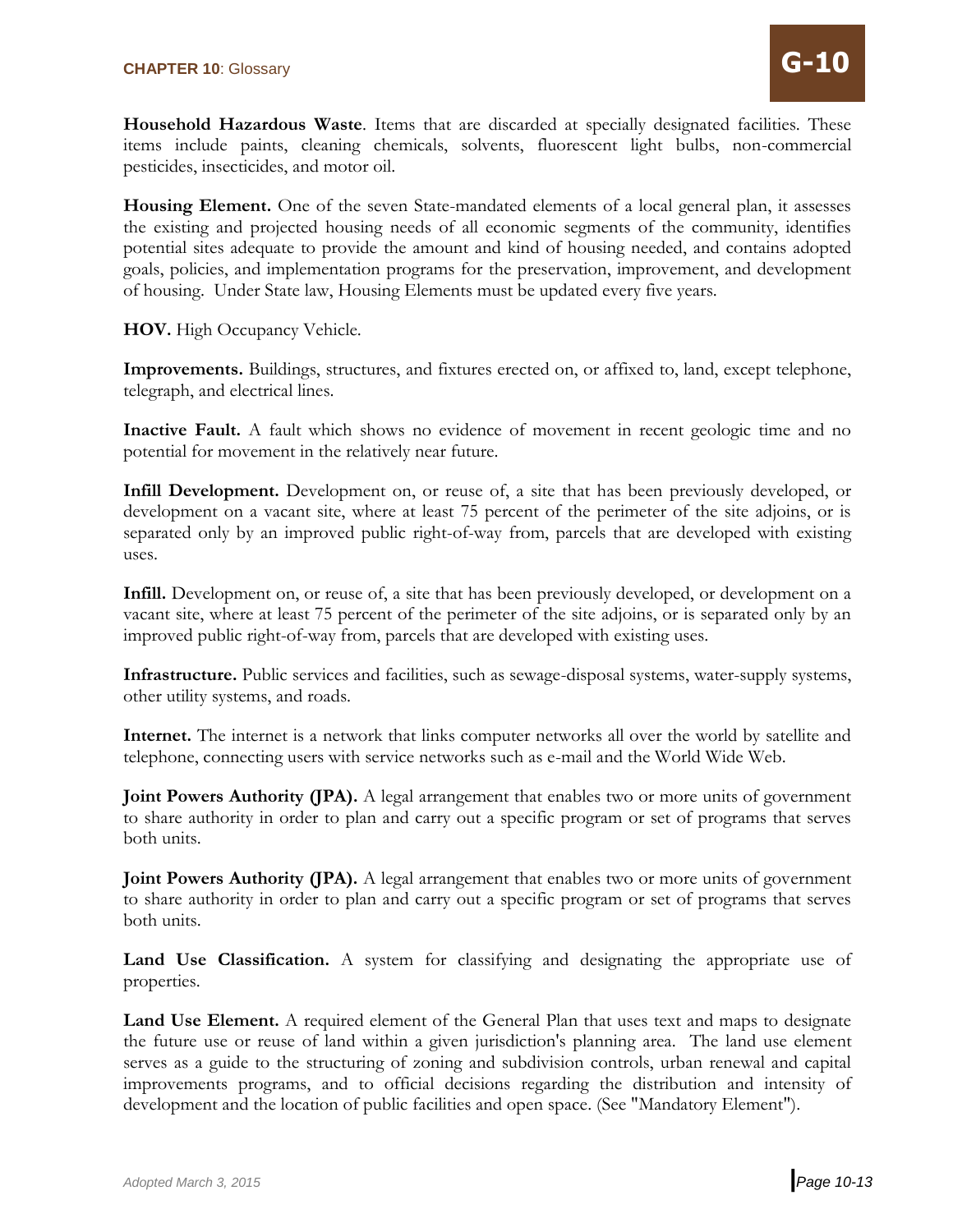**Household Hazardous Waste**. Items that are discarded at specially designated facilities. These items include paints, cleaning chemicals, solvents, fluorescent light bulbs, non-commercial pesticides, insecticides, and motor oil.

**Housing Element.** One of the seven State-mandated elements of a local general plan, it assesses the existing and projected housing needs of all economic segments of the community, identifies potential sites adequate to provide the amount and kind of housing needed, and contains adopted goals, policies, and implementation programs for the preservation, improvement, and development of housing. Under State law, Housing Elements must be updated every five years.

**HOV.** High Occupancy Vehicle.

**Improvements.** Buildings, structures, and fixtures erected on, or affixed to, land, except telephone, telegraph, and electrical lines.

**Inactive Fault.** A fault which shows no evidence of movement in recent geologic time and no potential for movement in the relatively near future.

**Infill Development.** Development on, or reuse of, a site that has been previously developed, or development on a vacant site, where at least 75 percent of the perimeter of the site adjoins, or is separated only by an improved public right-of-way from, parcels that are developed with existing uses.

**Infill.** Development on, or reuse of, a site that has been previously developed, or development on a vacant site, where at least 75 percent of the perimeter of the site adjoins, or is separated only by an improved public right-of-way from, parcels that are developed with existing uses.

**Infrastructure.** Public services and facilities, such as sewage-disposal systems, water-supply systems, other utility systems, and roads.

**Internet.** The internet is a network that links computer networks all over the world by satellite and telephone, connecting users with service networks such as e-mail and the World Wide Web.

**Joint Powers Authority (JPA).** A legal arrangement that enables two or more units of government to share authority in order to plan and carry out a specific program or set of programs that serves both units.

**Joint Powers Authority (JPA).** A legal arrangement that enables two or more units of government to share authority in order to plan and carry out a specific program or set of programs that serves both units.

Land Use Classification. A system for classifying and designating the appropriate use of properties.

Land Use Element. A required element of the General Plan that uses text and maps to designate the future use or reuse of land within a given jurisdiction's planning area. The land use element serves as a guide to the structuring of zoning and subdivision controls, urban renewal and capital improvements programs, and to official decisions regarding the distribution and intensity of development and the location of public facilities and open space. (See "Mandatory Element").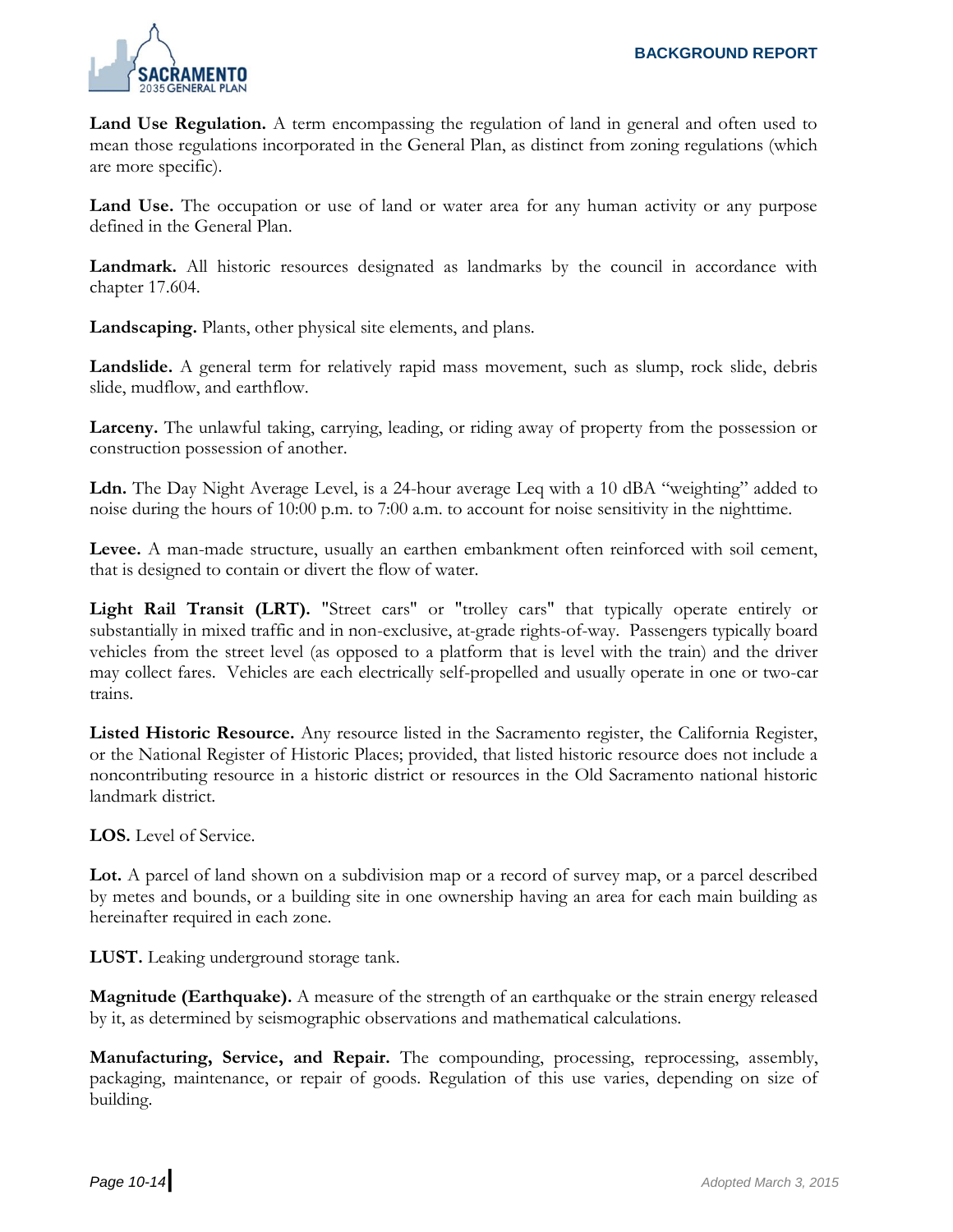

Land Use Regulation. A term encompassing the regulation of land in general and often used to mean those regulations incorporated in the General Plan, as distinct from zoning regulations (which are more specific).

**Land Use.** The occupation or use of land or water area for any human activity or any purpose defined in the General Plan.

**Landmark.** All historic resources designated as landmarks by the council in accordance with chapter 17.604.

**Landscaping.** Plants, other physical site elements, and plans.

**Landslide.** A general term for relatively rapid mass movement, such as slump, rock slide, debris slide, mudflow, and earthflow.

**Larceny.** The unlawful taking, carrying, leading, or riding away of property from the possession or construction possession of another.

**Ldn.** The Day Night Average Level, is a 24-hour average Leq with a 10 dBA "weighting" added to noise during the hours of 10:00 p.m. to 7:00 a.m. to account for noise sensitivity in the nighttime.

**Levee.** A man-made structure, usually an earthen embankment often reinforced with soil cement, that is designed to contain or divert the flow of water.

Light Rail Transit (LRT). "Street cars" or "trolley cars" that typically operate entirely or substantially in mixed traffic and in non-exclusive, at-grade rights-of-way. Passengers typically board vehicles from the street level (as opposed to a platform that is level with the train) and the driver may collect fares. Vehicles are each electrically self-propelled and usually operate in one or two-car trains.

**Listed Historic Resource.** Any resource listed in the Sacramento register, the California Register, or the National Register of Historic Places; provided, that listed historic resource does not include a noncontributing resource in a historic district or resources in the Old Sacramento national historic landmark district.

**LOS.** Level of Service.

Lot. A parcel of land shown on a subdivision map or a record of survey map, or a parcel described by metes and bounds, or a building site in one ownership having an area for each main building as hereinafter required in each zone.

**LUST.** Leaking underground storage tank.

**Magnitude (Earthquake).** A measure of the strength of an earthquake or the strain energy released by it, as determined by seismographic observations and mathematical calculations.

**Manufacturing, Service, and Repair.** The compounding, processing, reprocessing, assembly, packaging, maintenance, or repair of goods. Regulation of this use varies, depending on size of building.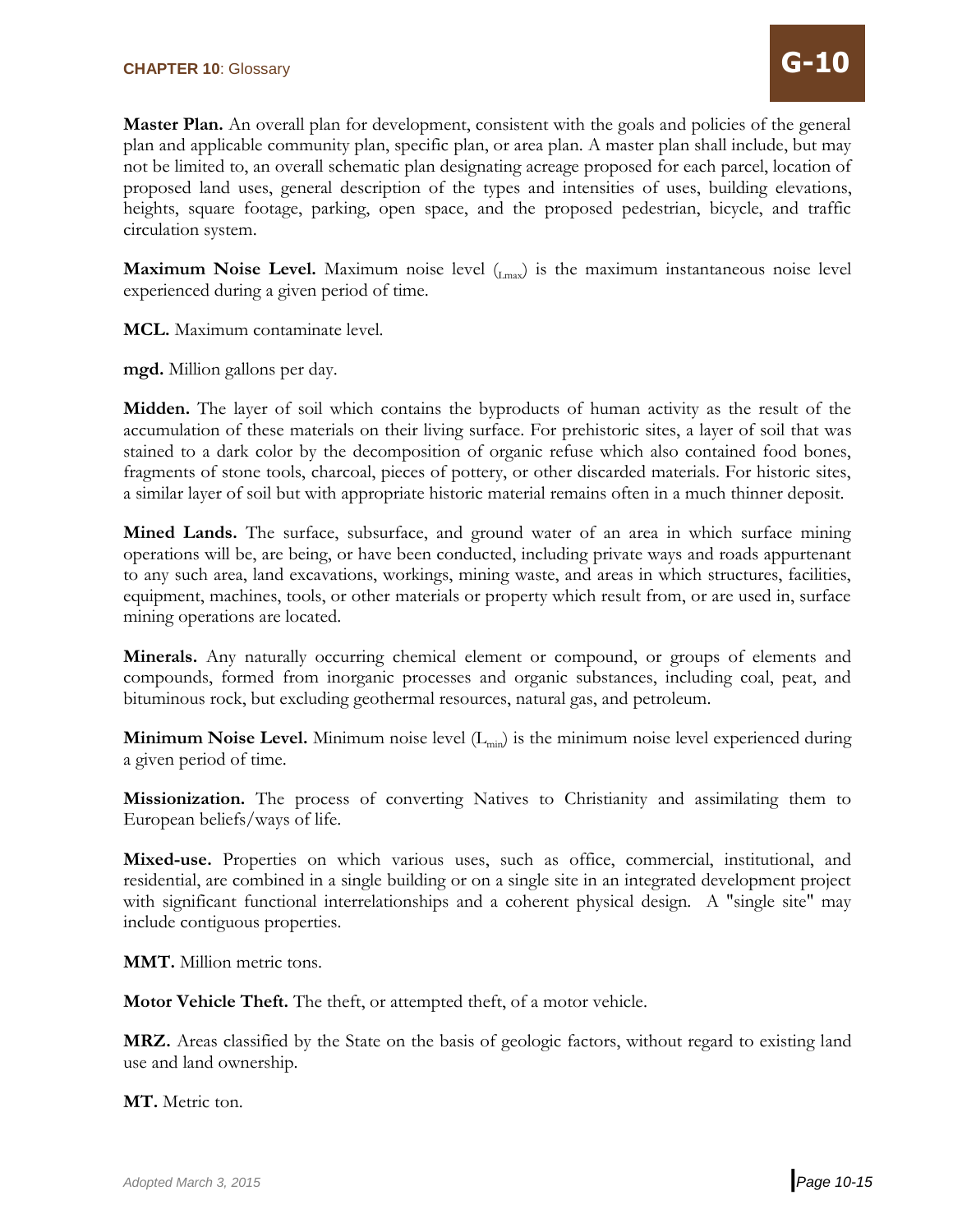**Master Plan.** An overall plan for development, consistent with the goals and policies of the general plan and applicable community plan, specific plan, or area plan. A master plan shall include, but may not be limited to, an overall schematic plan designating acreage proposed for each parcel, location of proposed land uses, general description of the types and intensities of uses, building elevations, heights, square footage, parking, open space, and the proposed pedestrian, bicycle, and traffic circulation system.

**Maximum Noise Level.** Maximum noise level (L<sub>max</sub>) is the maximum instantaneous noise level experienced during a given period of time.

**MCL.** Maximum contaminate level.

**mgd.** Million gallons per day.

**Midden.** The layer of soil which contains the byproducts of human activity as the result of the accumulation of these materials on their living surface. For prehistoric sites, a layer of soil that was stained to a dark color by the decomposition of organic refuse which also contained food bones, fragments of stone tools, charcoal, pieces of pottery, or other discarded materials. For historic sites, a similar layer of soil but with appropriate historic material remains often in a much thinner deposit.

**Mined Lands.** The surface, subsurface, and ground water of an area in which surface mining operations will be, are being, or have been conducted, including private ways and roads appurtenant to any such area, land excavations, workings, mining waste, and areas in which structures, facilities, equipment, machines, tools, or other materials or property which result from, or are used in, surface mining operations are located.

**Minerals.** Any naturally occurring chemical element or compound, or groups of elements and compounds, formed from inorganic processes and organic substances, including coal, peat, and bituminous rock, but excluding geothermal resources, natural gas, and petroleum.

**Minimum Noise Level.** Minimum noise level (L<sub>min</sub>) is the minimum noise level experienced during a given period of time.

**Missionization.** The process of converting Natives to Christianity and assimilating them to European beliefs/ways of life.

**Mixed-use.** Properties on which various uses, such as office, commercial, institutional, and residential, are combined in a single building or on a single site in an integrated development project with significant functional interrelationships and a coherent physical design. A "single site" may include contiguous properties.

**MMT.** Million metric tons.

**Motor Vehicle Theft.** The theft, or attempted theft, of a motor vehicle.

**MRZ.** Areas classified by the State on the basis of geologic factors, without regard to existing land use and land ownership.

**MT.** Metric ton.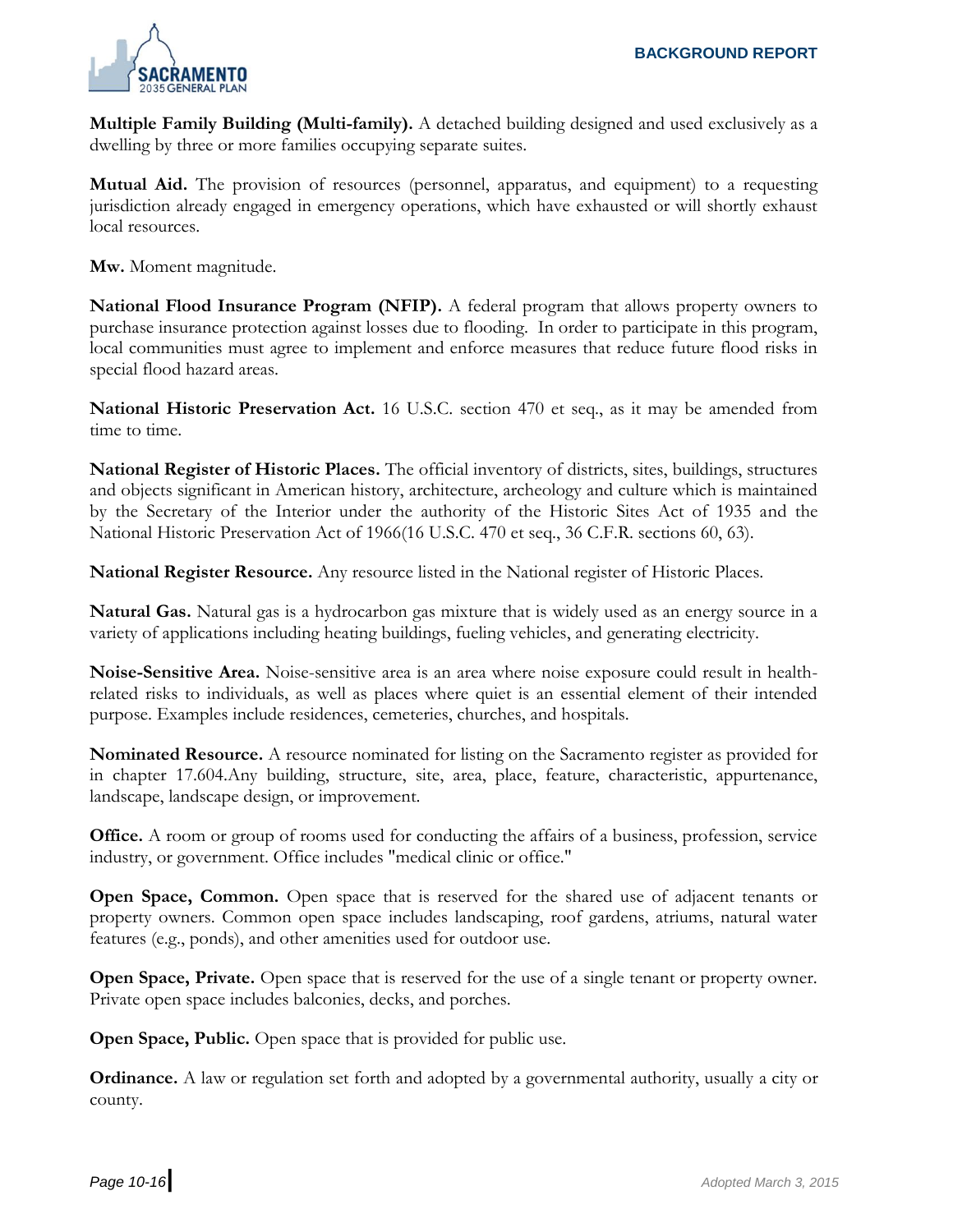

**Multiple Family Building (Multi-family).** A detached building designed and used exclusively as a dwelling by three or more families occupying separate suites.

**Mutual Aid.** The provision of resources (personnel, apparatus, and equipment) to a requesting jurisdiction already engaged in emergency operations, which have exhausted or will shortly exhaust local resources.

**Mw.** Moment magnitude.

**National Flood Insurance Program (NFIP).** A federal program that allows property owners to purchase insurance protection against losses due to flooding. In order to participate in this program, local communities must agree to implement and enforce measures that reduce future flood risks in special flood hazard areas.

**National Historic Preservation Act.** 16 U.S.C. section 470 et seq., as it may be amended from time to time.

**National Register of Historic Places.** The official inventory of districts, sites, buildings, structures and objects significant in American history, architecture, archeology and culture which is maintained by the Secretary of the Interior under the authority of the Historic Sites Act of 1935 and the National Historic Preservation Act of 1966(16 U.S.C. 470 et seq., 36 C.F.R. sections 60, 63).

**National Register Resource.** Any resource listed in the National register of Historic Places.

**Natural Gas.** Natural gas is a hydrocarbon gas mixture that is widely used as an energy source in a variety of applications including heating buildings, fueling vehicles, and generating electricity.

**Noise-Sensitive Area.** Noise-sensitive area is an area where noise exposure could result in healthrelated risks to individuals, as well as places where quiet is an essential element of their intended purpose. Examples include residences, cemeteries, churches, and hospitals.

**Nominated Resource.** A resource nominated for listing on the Sacramento register as provided for in chapter 17.604.Any building, structure, site, area, place, feature, characteristic, appurtenance, landscape, landscape design, or improvement.

**Office.** A room or group of rooms used for conducting the affairs of a business, profession, service industry, or government. Office includes "medical clinic or office."

**Open Space, Common.** Open space that is reserved for the shared use of adjacent tenants or property owners. Common open space includes landscaping, roof gardens, atriums, natural water features (e.g., ponds), and other amenities used for outdoor use.

**Open Space, Private.** Open space that is reserved for the use of a single tenant or property owner. Private open space includes balconies, decks, and porches.

**Open Space, Public.** Open space that is provided for public use.

**Ordinance.** A law or regulation set forth and adopted by a governmental authority, usually a city or county.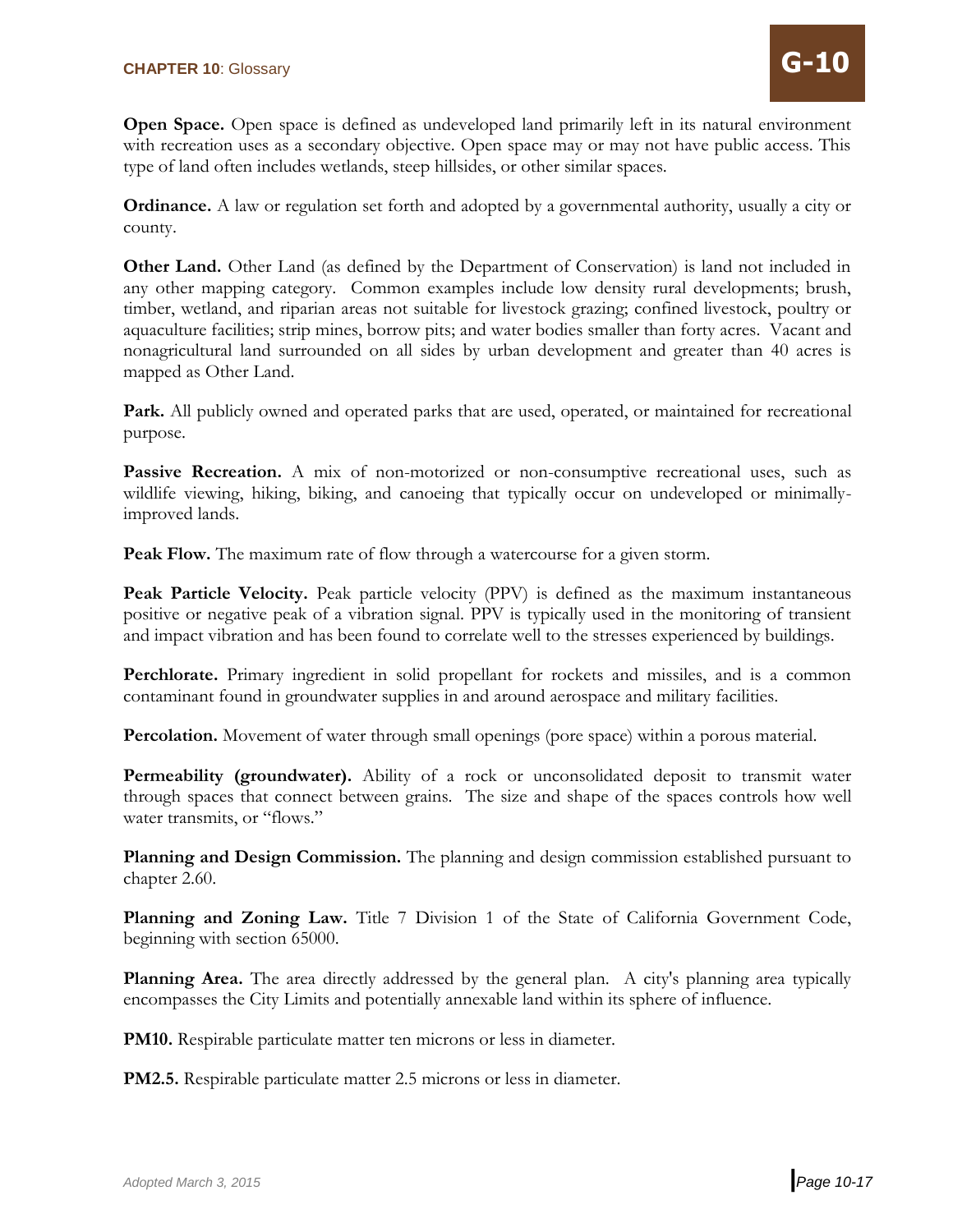**Open Space.** Open space is defined as undeveloped land primarily left in its natural environment with recreation uses as a secondary objective. Open space may or may not have public access. This type of land often includes wetlands, steep hillsides, or other similar spaces.

**Ordinance.** A law or regulation set forth and adopted by a governmental authority, usually a city or county.

**Other Land.** Other Land (as defined by the Department of Conservation) is land not included in any other mapping category. Common examples include low density rural developments; brush, timber, wetland, and riparian areas not suitable for livestock grazing; confined livestock, poultry or aquaculture facilities; strip mines, borrow pits; and water bodies smaller than forty acres. Vacant and nonagricultural land surrounded on all sides by urban development and greater than 40 acres is mapped as Other Land.

**Park.** All publicly owned and operated parks that are used, operated, or maintained for recreational purpose.

**Passive Recreation.** A mix of non-motorized or non-consumptive recreational uses, such as wildlife viewing, hiking, biking, and canoeing that typically occur on undeveloped or minimallyimproved lands.

**Peak Flow.** The maximum rate of flow through a watercourse for a given storm.

**Peak Particle Velocity.** Peak particle velocity (PPV) is defined as the maximum instantaneous positive or negative peak of a vibration signal. PPV is typically used in the monitoring of transient and impact vibration and has been found to correlate well to the stresses experienced by buildings.

Perchlorate. Primary ingredient in solid propellant for rockets and missiles, and is a common contaminant found in groundwater supplies in and around aerospace and military facilities.

**Percolation.** Movement of water through small openings (pore space) within a porous material.

**Permeability (groundwater).** Ability of a rock or unconsolidated deposit to transmit water through spaces that connect between grains. The size and shape of the spaces controls how well water transmits, or "flows."

**Planning and Design Commission.** The planning and design commission established pursuant to chapter 2.60.

**Planning and Zoning Law.** Title 7 Division 1 of the State of California Government Code, beginning with section 65000.

**Planning Area.** The area directly addressed by the general plan. A city's planning area typically encompasses the City Limits and potentially annexable land within its sphere of influence.

**PM10.** Respirable particulate matter ten microns or less in diameter.

**PM2.5.** Respirable particulate matter 2.5 microns or less in diameter.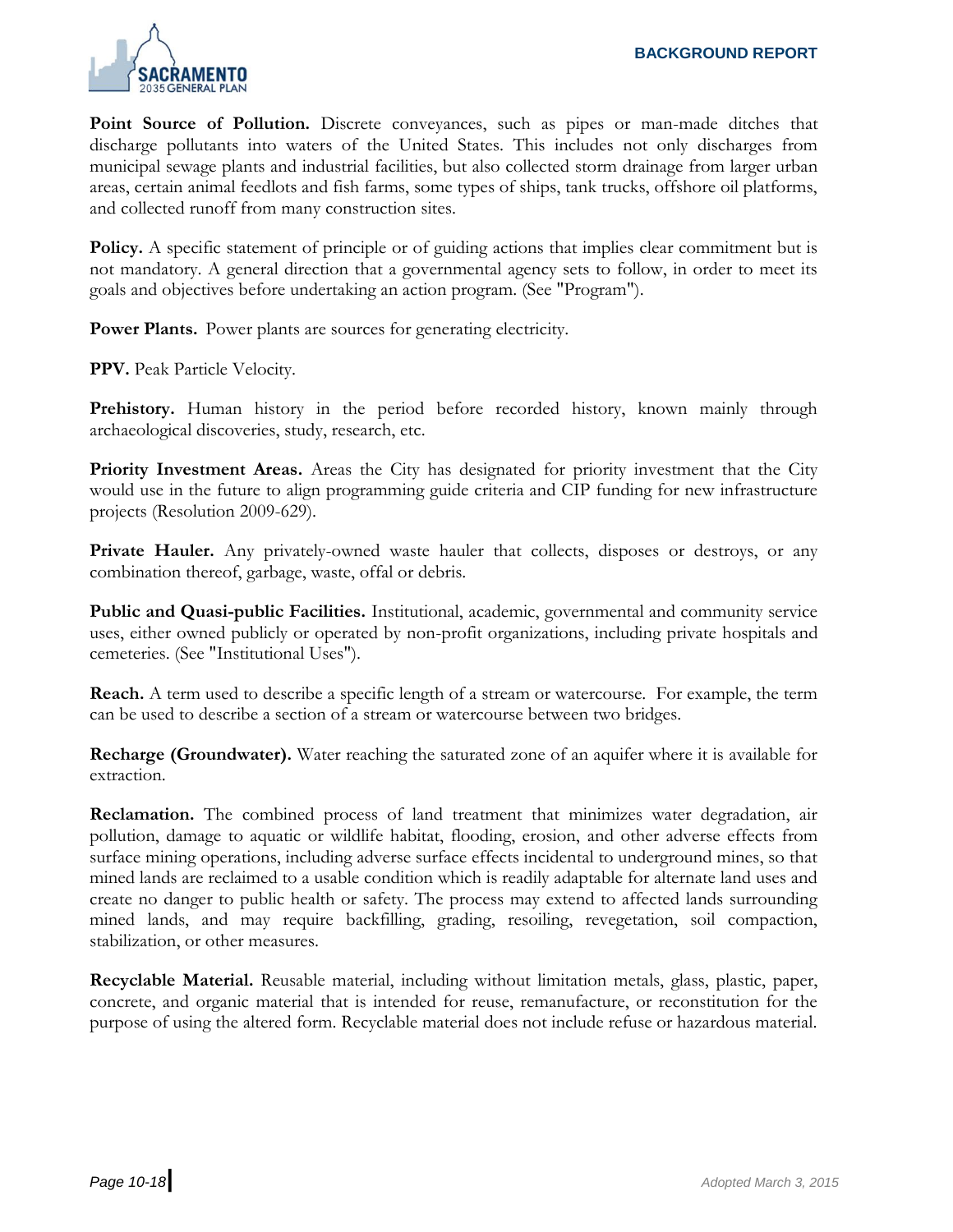

**Point Source of Pollution.** Discrete conveyances, such as pipes or man-made ditches that discharge pollutants into waters of the United States. This includes not only discharges from municipal sewage plants and industrial facilities, but also collected storm drainage from larger urban areas, certain animal feedlots and fish farms, some types of ships, tank trucks, offshore oil platforms, and collected runoff from many construction sites.

**Policy.** A specific statement of principle or of guiding actions that implies clear commitment but is not mandatory. A general direction that a governmental agency sets to follow, in order to meet its goals and objectives before undertaking an action program. (See "Program").

Power Plants. Power plants are sources for generating electricity.

**PPV.** Peak Particle Velocity.

**Prehistory.** Human history in the period before recorded history, known mainly through archaeological discoveries, study, research, etc.

**Priority Investment Areas.** Areas the City has designated for priority investment that the City would use in the future to align programming guide criteria and CIP funding for new infrastructure projects (Resolution 2009-629).

**Private Hauler.** Any privately-owned waste hauler that collects, disposes or destroys, or any combination thereof, garbage, waste, offal or debris.

**Public and Quasi-public Facilities.** Institutional, academic, governmental and community service uses, either owned publicly or operated by non-profit organizations, including private hospitals and cemeteries. (See "Institutional Uses").

**Reach.** A term used to describe a specific length of a stream or watercourse. For example, the term can be used to describe a section of a stream or watercourse between two bridges.

**Recharge (Groundwater).** Water reaching the saturated zone of an aquifer where it is available for extraction.

**Reclamation.** The combined process of land treatment that minimizes water degradation, air pollution, damage to aquatic or wildlife habitat, flooding, erosion, and other adverse effects from surface mining operations, including adverse surface effects incidental to underground mines, so that mined lands are reclaimed to a usable condition which is readily adaptable for alternate land uses and create no danger to public health or safety. The process may extend to affected lands surrounding mined lands, and may require backfilling, grading, resoiling, revegetation, soil compaction, stabilization, or other measures.

**Recyclable Material.** Reusable material, including without limitation metals, glass, plastic, paper, concrete, and organic material that is intended for reuse, remanufacture, or reconstitution for the purpose of using the altered form. Recyclable material does not include refuse or hazardous material.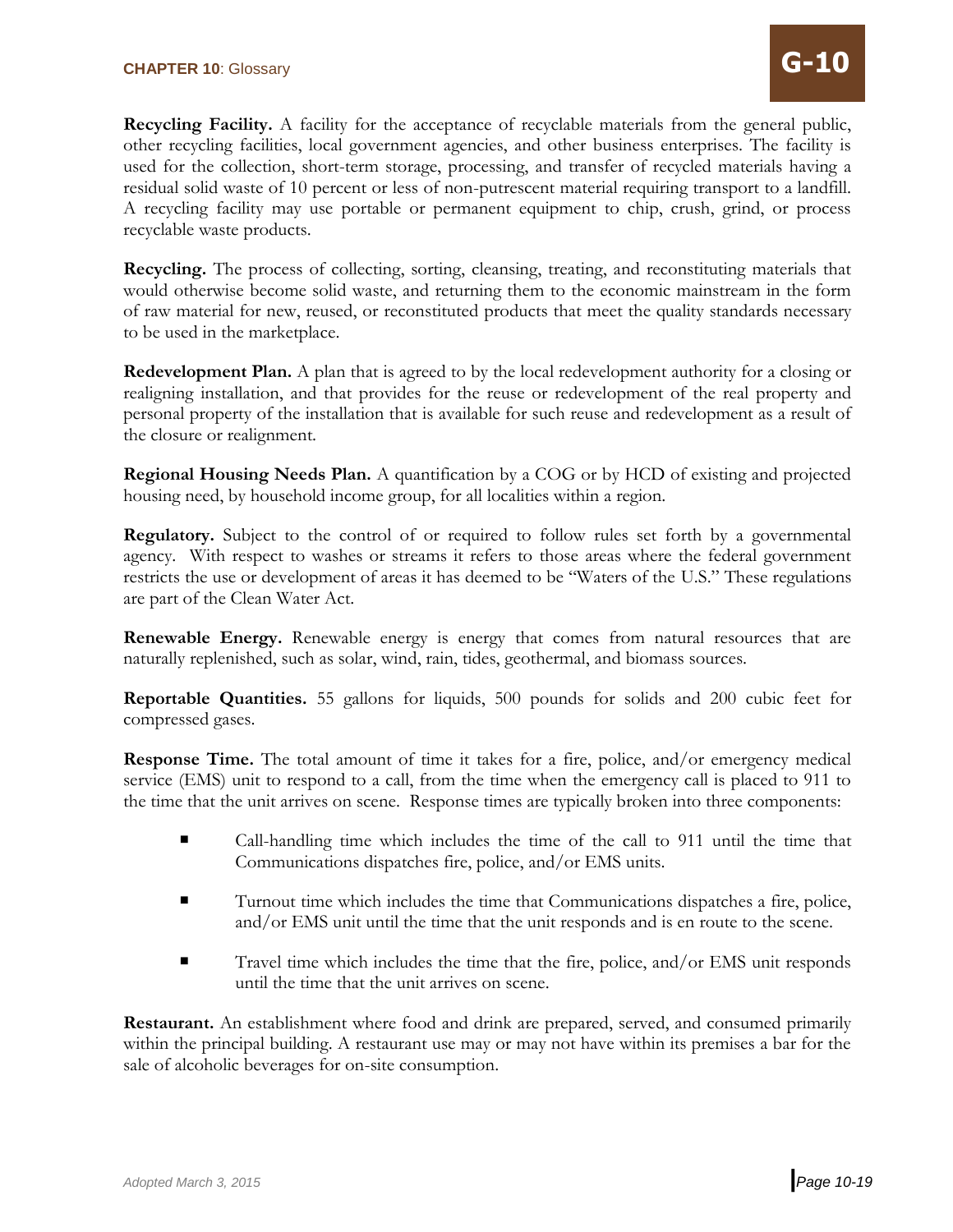**Recycling Facility.** A facility for the acceptance of recyclable materials from the general public, other recycling facilities, local government agencies, and other business enterprises. The facility is used for the collection, short-term storage, processing, and transfer of recycled materials having a residual solid waste of 10 percent or less of non-putrescent material requiring transport to a landfill. A recycling facility may use portable or permanent equipment to chip, crush, grind, or process recyclable waste products.

**Recycling.** The process of collecting, sorting, cleansing, treating, and reconstituting materials that would otherwise become solid waste, and returning them to the economic mainstream in the form of raw material for new, reused, or reconstituted products that meet the quality standards necessary to be used in the marketplace.

**Redevelopment Plan.** A plan that is agreed to by the local redevelopment authority for a closing or realigning installation, and that provides for the reuse or redevelopment of the real property and personal property of the installation that is available for such reuse and redevelopment as a result of the closure or realignment.

**Regional Housing Needs Plan.** A quantification by a COG or by HCD of existing and projected housing need, by household income group, for all localities within a region.

**Regulatory.** Subject to the control of or required to follow rules set forth by a governmental agency. With respect to washes or streams it refers to those areas where the federal government restricts the use or development of areas it has deemed to be "Waters of the U.S." These regulations are part of the Clean Water Act.

**Renewable Energy.** Renewable energy is energy that comes from natural resources that are naturally replenished, such as solar, wind, rain, tides, geothermal, and biomass sources.

**Reportable Quantities.** 55 gallons for liquids, 500 pounds for solids and 200 cubic feet for compressed gases.

**Response Time.** The total amount of time it takes for a fire, police, and/or emergency medical service (EMS) unit to respond to a call, from the time when the emergency call is placed to 911 to the time that the unit arrives on scene. Response times are typically broken into three components:

- Call-handling time which includes the time of the call to 911 until the time that Communications dispatches fire, police, and/or EMS units.
- Turnout time which includes the time that Communications dispatches a fire, police, and/or EMS unit until the time that the unit responds and is en route to the scene.
- Travel time which includes the time that the fire, police, and/or EMS unit responds until the time that the unit arrives on scene.

**Restaurant.** An establishment where food and drink are prepared, served, and consumed primarily within the principal building. A restaurant use may or may not have within its premises a bar for the sale of alcoholic beverages for on-site consumption.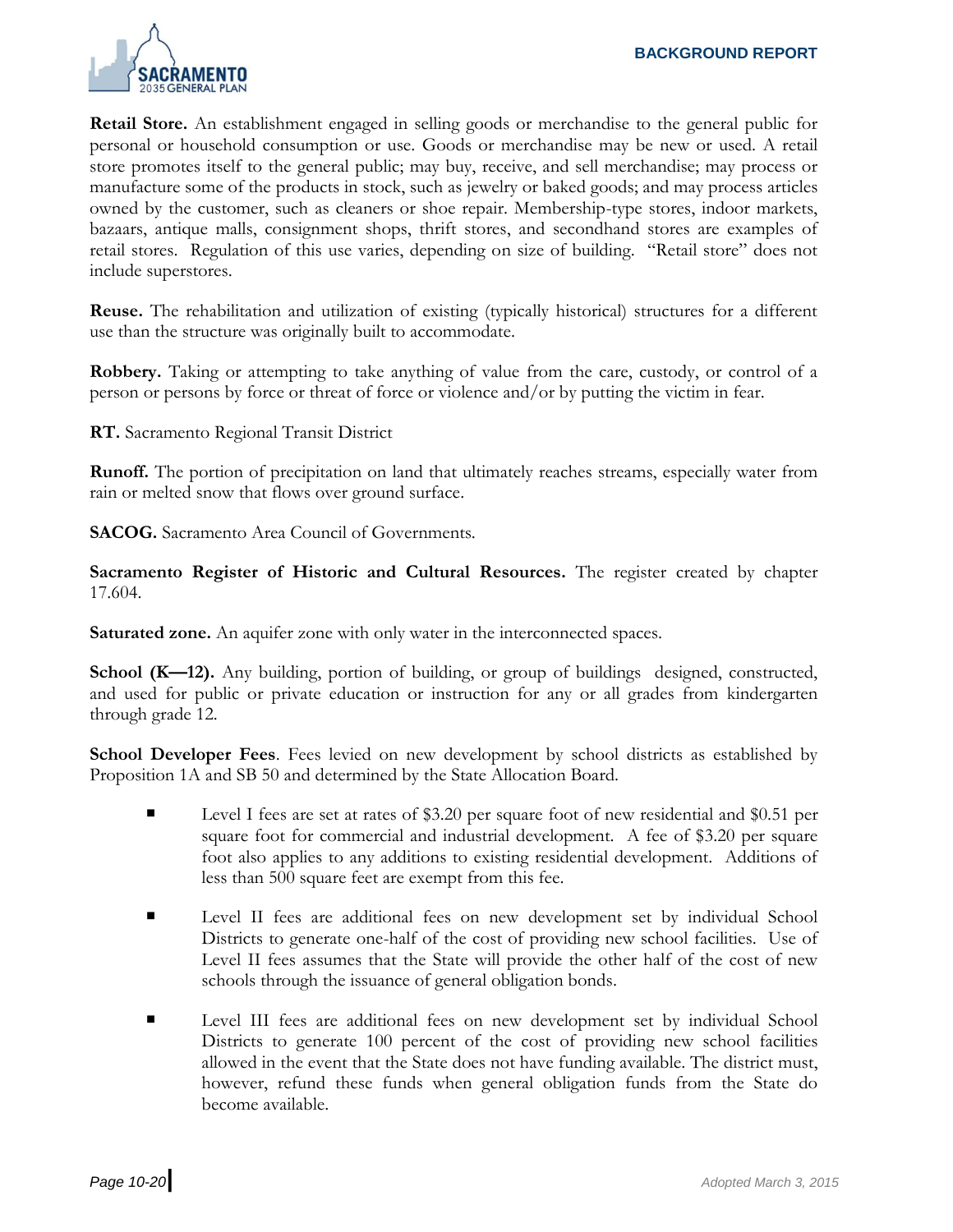

**Retail Store.** An establishment engaged in selling goods or merchandise to the general public for personal or household consumption or use. Goods or merchandise may be new or used. A retail store promotes itself to the general public; may buy, receive, and sell merchandise; may process or manufacture some of the products in stock, such as jewelry or baked goods; and may process articles owned by the customer, such as cleaners or shoe repair. Membership-type stores, indoor markets, bazaars, antique malls, consignment shops, thrift stores, and secondhand stores are examples of retail stores. Regulation of this use varies, depending on size of building. "Retail store" does not include superstores.

**Reuse.** The rehabilitation and utilization of existing (typically historical) structures for a different use than the structure was originally built to accommodate.

**Robbery.** Taking or attempting to take anything of value from the care, custody, or control of a person or persons by force or threat of force or violence and/or by putting the victim in fear.

**RT.** Sacramento Regional Transit District

**Runoff.** The portion of precipitation on land that ultimately reaches streams, especially water from rain or melted snow that flows over ground surface.

**SACOG.** Sacramento Area Council of Governments.

**Sacramento Register of Historic and Cultural Resources.** The register created by chapter 17.604.

**Saturated zone.** An aquifer zone with only water in the interconnected spaces.

**School (K—12).** Any building, portion of building, or group of buildings designed, constructed, and used for public or private education or instruction for any or all grades from kindergarten through grade 12.

**School Developer Fees**. Fees levied on new development by school districts as established by Proposition 1A and SB 50 and determined by the State Allocation Board.

- Level I fees are set at rates of \$3.20 per square foot of new residential and \$0.51 per square foot for commercial and industrial development. A fee of \$3.20 per square foot also applies to any additions to existing residential development. Additions of less than 500 square feet are exempt from this fee.
- Level II fees are additional fees on new development set by individual School Districts to generate one-half of the cost of providing new school facilities. Use of Level II fees assumes that the State will provide the other half of the cost of new schools through the issuance of general obligation bonds.
- Level III fees are additional fees on new development set by individual School Districts to generate 100 percent of the cost of providing new school facilities allowed in the event that the State does not have funding available. The district must, however, refund these funds when general obligation funds from the State do become available.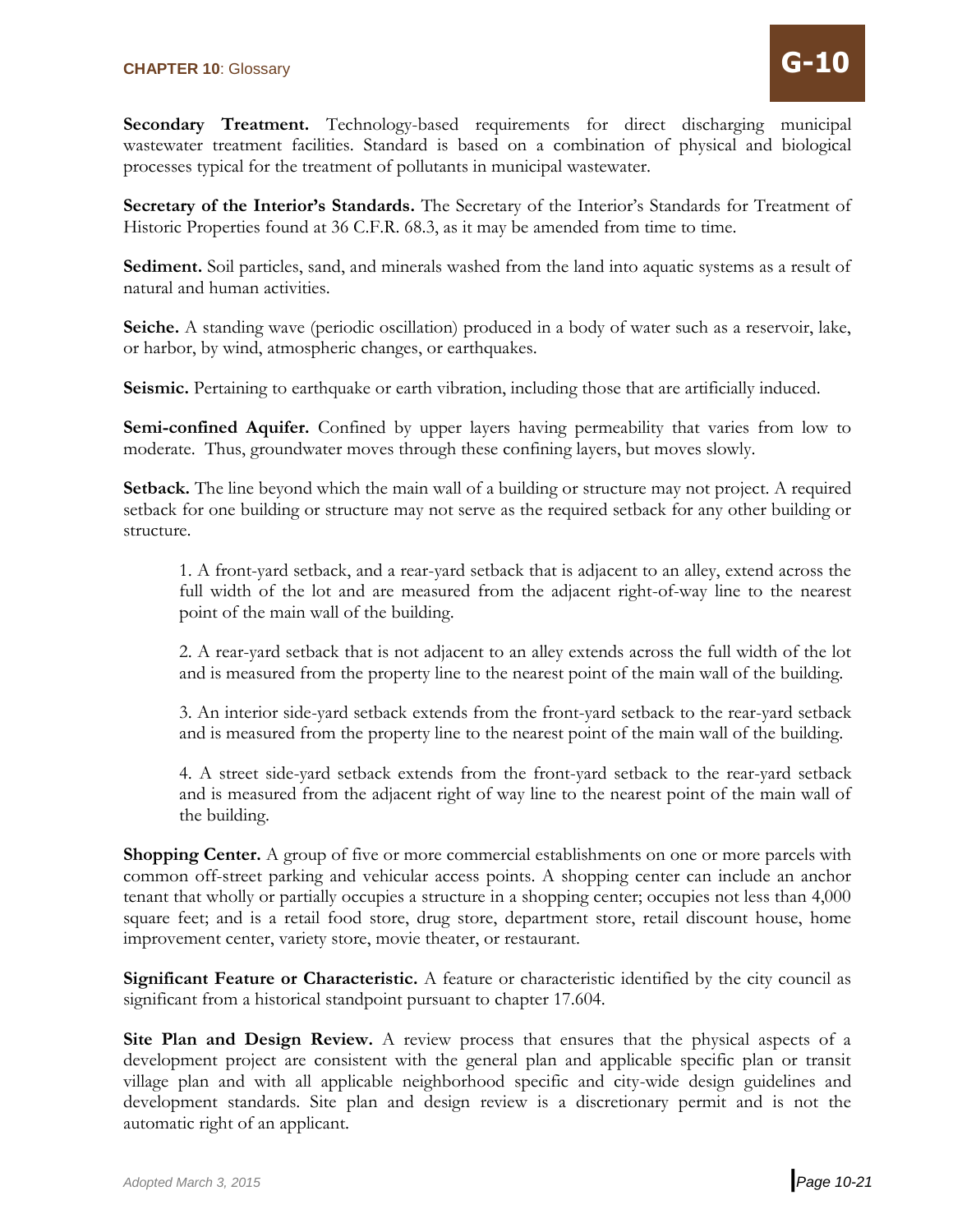**Secondary Treatment.** Technology-based requirements for direct discharging municipal wastewater treatment facilities. Standard is based on a combination of physical and biological processes typical for the treatment of pollutants in municipal wastewater.

**Secretary of the Interior's Standards.** The Secretary of the Interior's Standards for Treatment of Historic Properties found at 36 C.F.R. 68.3, as it may be amended from time to time.

**Sediment.** Soil particles, sand, and minerals washed from the land into aquatic systems as a result of natural and human activities.

**Seiche.** A standing wave (periodic oscillation) produced in a body of water such as a reservoir, lake, or harbor, by wind, atmospheric changes, or earthquakes.

**Seismic.** Pertaining to earthquake or earth vibration, including those that are artificially induced.

Semi-confined Aquifer. Confined by upper layers having permeability that varies from low to moderate. Thus, groundwater moves through these confining layers, but moves slowly.

**Setback.** The line beyond which the main wall of a building or structure may not project. A required setback for one building or structure may not serve as the required setback for any other building or structure.

1. A front-yard setback, and a rear-yard setback that is adjacent to an alley, extend across the full width of the lot and are measured from the adjacent right-of-way line to the nearest point of the main wall of the building.

2. A rear-yard setback that is not adjacent to an alley extends across the full width of the lot and is measured from the property line to the nearest point of the main wall of the building.

3. An interior side-yard setback extends from the front-yard setback to the rear-yard setback and is measured from the property line to the nearest point of the main wall of the building.

4. A street side-yard setback extends from the front-yard setback to the rear-yard setback and is measured from the adjacent right of way line to the nearest point of the main wall of the building.

**Shopping Center.** A group of five or more commercial establishments on one or more parcels with common off-street parking and vehicular access points. A shopping center can include an anchor tenant that wholly or partially occupies a structure in a shopping center; occupies not less than 4,000 square feet; and is a retail food store, drug store, department store, retail discount house, home improvement center, variety store, movie theater, or restaurant.

**Significant Feature or Characteristic.** A feature or characteristic identified by the city council as significant from a historical standpoint pursuant to chapter 17.604.

**Site Plan and Design Review.** A review process that ensures that the physical aspects of a development project are consistent with the general plan and applicable specific plan or transit village plan and with all applicable neighborhood specific and city-wide design guidelines and development standards. Site plan and design review is a discretionary permit and is not the automatic right of an applicant.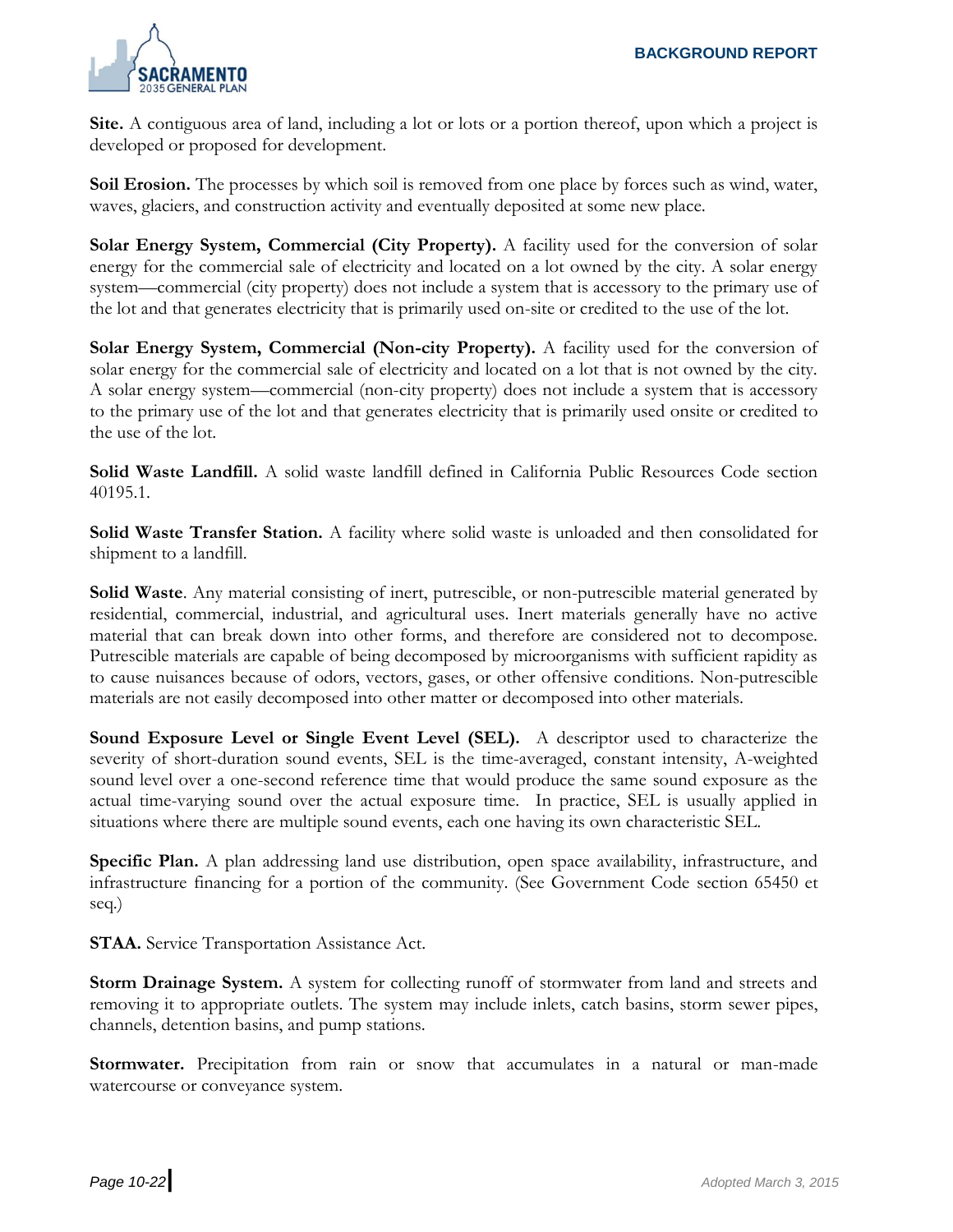

**Site.** A contiguous area of land, including a lot or lots or a portion thereof, upon which a project is developed or proposed for development.

**Soil Erosion.** The processes by which soil is removed from one place by forces such as wind, water, waves, glaciers, and construction activity and eventually deposited at some new place.

**Solar Energy System, Commercial (City Property).** A facility used for the conversion of solar energy for the commercial sale of electricity and located on a lot owned by the city. A solar energy system—commercial (city property) does not include a system that is accessory to the primary use of the lot and that generates electricity that is primarily used on-site or credited to the use of the lot.

**Solar Energy System, Commercial (Non-city Property).** A facility used for the conversion of solar energy for the commercial sale of electricity and located on a lot that is not owned by the city. A solar energy system—commercial (non-city property) does not include a system that is accessory to the primary use of the lot and that generates electricity that is primarily used onsite or credited to the use of the lot.

**Solid Waste Landfill.** A solid waste landfill defined in California Public Resources Code section 40195.1.

**Solid Waste Transfer Station.** A facility where solid waste is unloaded and then consolidated for shipment to a landfill.

**Solid Waste**. Any material consisting of inert, putrescible, or non-putrescible material generated by residential, commercial, industrial, and agricultural uses. Inert materials generally have no active material that can break down into other forms, and therefore are considered not to decompose. Putrescible materials are capable of being decomposed by microorganisms with sufficient rapidity as to cause nuisances because of odors, vectors, gases, or other offensive conditions. Non-putrescible materials are not easily decomposed into other matter or decomposed into other materials.

**Sound Exposure Level or Single Event Level (SEL).** A descriptor used to characterize the severity of short-duration sound events, SEL is the time-averaged, constant intensity, A-weighted sound level over a one-second reference time that would produce the same sound exposure as the actual time-varying sound over the actual exposure time. In practice, SEL is usually applied in situations where there are multiple sound events, each one having its own characteristic SEL.

**Specific Plan.** A plan addressing land use distribution, open space availability, infrastructure, and infrastructure financing for a portion of the community. (See Government Code section 65450 et seq.)

**STAA.** Service Transportation Assistance Act.

**Storm Drainage System.** A system for collecting runoff of stormwater from land and streets and removing it to appropriate outlets. The system may include inlets, catch basins, storm sewer pipes, channels, detention basins, and pump stations.

**Stormwater.** Precipitation from rain or snow that accumulates in a natural or man-made watercourse or conveyance system.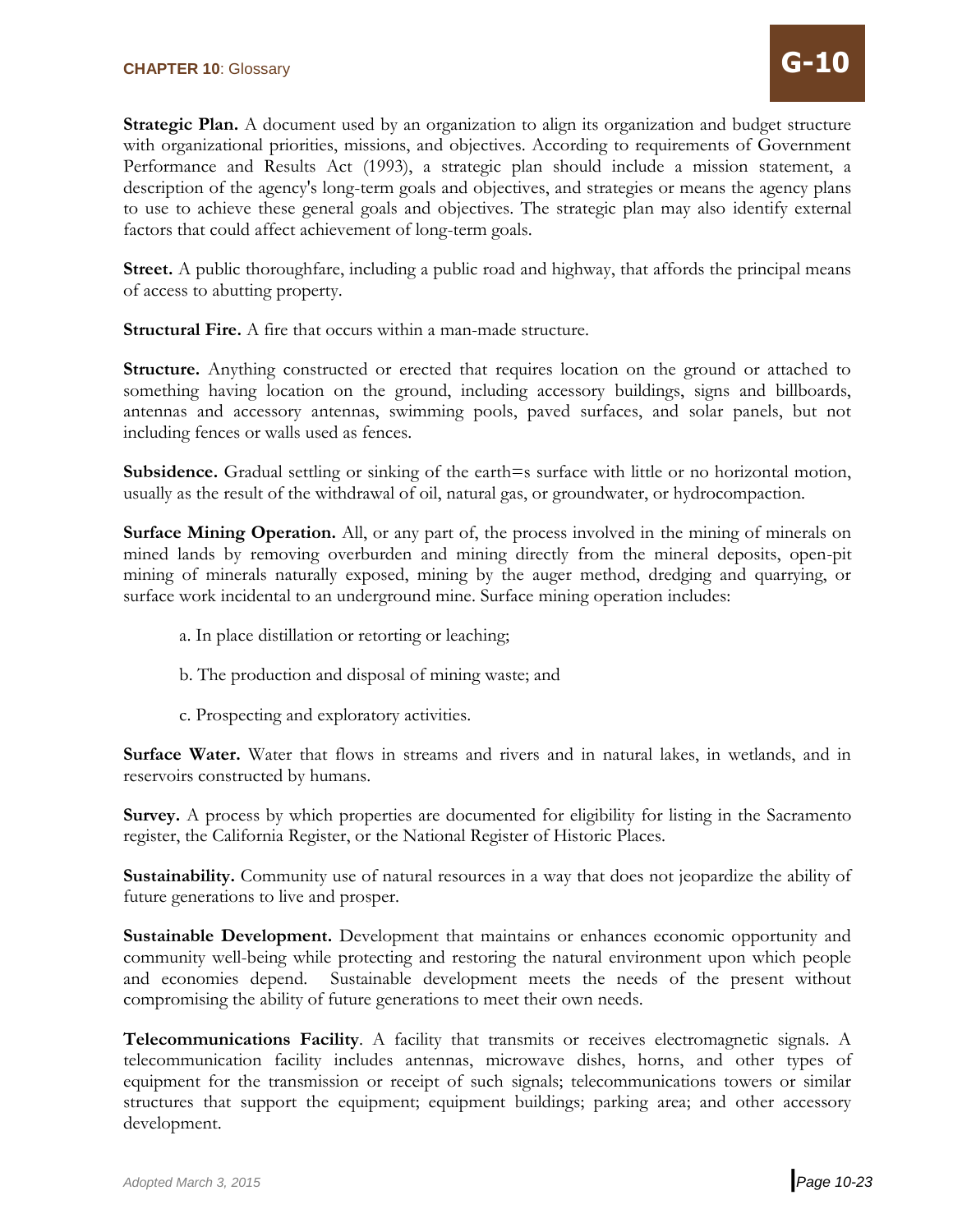**Strategic Plan.** A document used by an organization to align its organization and budget structure with organizational priorities, missions, and objectives. According to requirements of Government Performance and Results Act (1993), a strategic plan should include a mission statement, a description of the agency's long-term goals and objectives, and strategies or means the agency plans to use to achieve these general goals and objectives. The strategic plan may also identify external factors that could affect achievement of long-term goals.

**Street.** A public thoroughfare, including a public road and highway, that affords the principal means of access to abutting property.

**Structural Fire.** A fire that occurs within a man-made structure.

**Structure.** Anything constructed or erected that requires location on the ground or attached to something having location on the ground, including accessory buildings, signs and billboards, antennas and accessory antennas, swimming pools, paved surfaces, and solar panels, but not including fences or walls used as fences.

**Subsidence.** Gradual settling or sinking of the earth=s surface with little or no horizontal motion, usually as the result of the withdrawal of oil, natural gas, or groundwater, or hydrocompaction.

**Surface Mining Operation.** All, or any part of, the process involved in the mining of minerals on mined lands by removing overburden and mining directly from the mineral deposits, open-pit mining of minerals naturally exposed, mining by the auger method, dredging and quarrying, or surface work incidental to an underground mine. Surface mining operation includes:

- a. In place distillation or retorting or leaching;
- b. The production and disposal of mining waste; and
- c. Prospecting and exploratory activities.

**Surface Water.** Water that flows in streams and rivers and in natural lakes, in wetlands, and in reservoirs constructed by humans.

**Survey.** A process by which properties are documented for eligibility for listing in the Sacramento register, the California Register, or the National Register of Historic Places.

**Sustainability.** Community use of natural resources in a way that does not jeopardize the ability of future generations to live and prosper.

**Sustainable Development.** Development that maintains or enhances economic opportunity and community well-being while protecting and restoring the natural environment upon which people and economies depend. Sustainable development meets the needs of the present without compromising the ability of future generations to meet their own needs.

**Telecommunications Facility**. A facility that transmits or receives electromagnetic signals. A telecommunication facility includes antennas, microwave dishes, horns, and other types of equipment for the transmission or receipt of such signals; telecommunications towers or similar structures that support the equipment; equipment buildings; parking area; and other accessory development.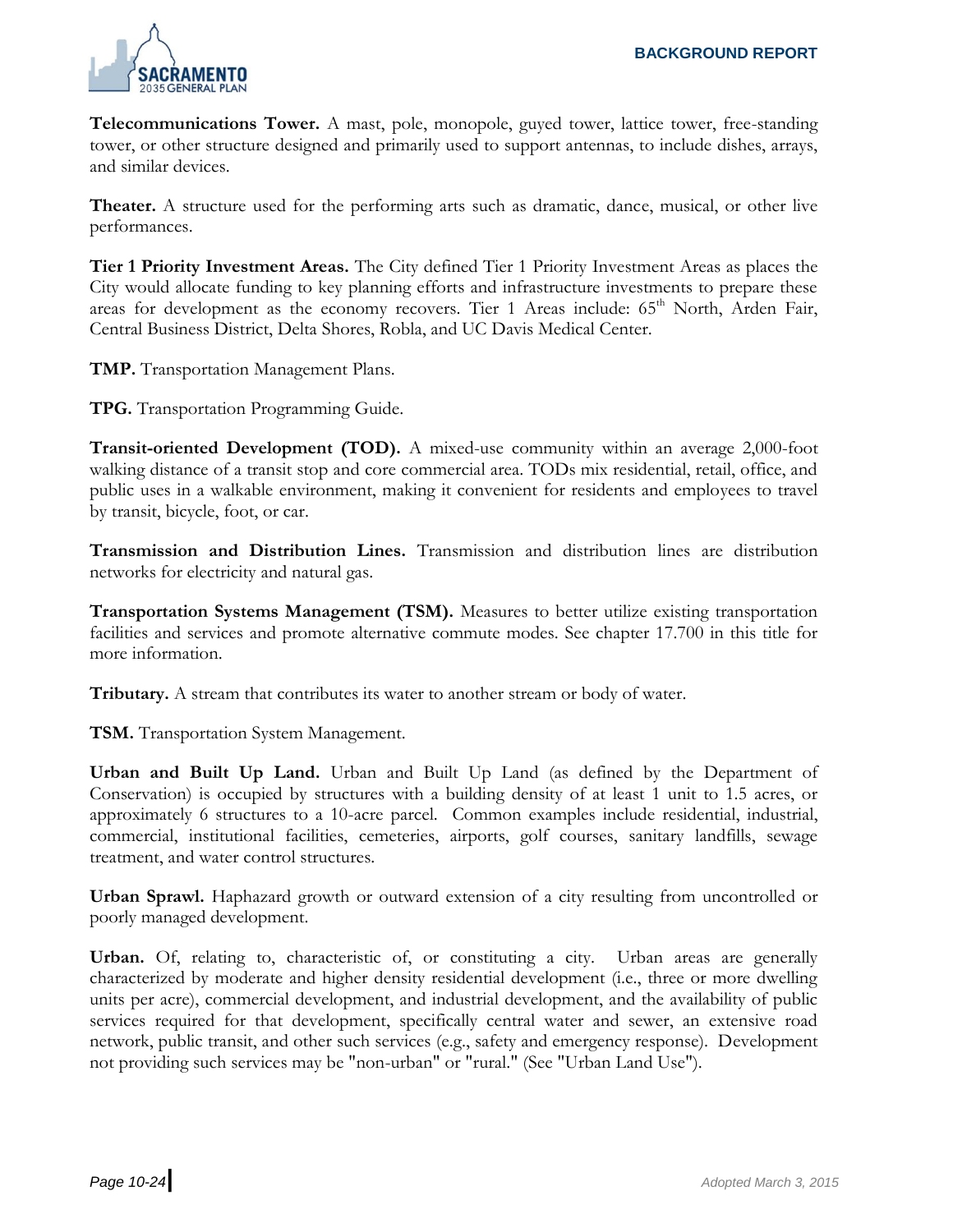

**Telecommunications Tower.** A mast, pole, monopole, guyed tower, lattice tower, free-standing tower, or other structure designed and primarily used to support antennas, to include dishes, arrays, and similar devices.

**Theater.** A structure used for the performing arts such as dramatic, dance, musical, or other live performances.

**Tier 1 Priority Investment Areas.** The City defined Tier 1 Priority Investment Areas as places the City would allocate funding to key planning efforts and infrastructure investments to prepare these areas for development as the economy recovers. Tier 1 Areas include: 65<sup>th</sup> North, Arden Fair, Central Business District, Delta Shores, Robla, and UC Davis Medical Center.

**TMP.** Transportation Management Plans.

**TPG.** Transportation Programming Guide.

**Transit-oriented Development (TOD).** A mixed-use community within an average 2,000-foot walking distance of a transit stop and core commercial area. TODs mix residential, retail, office, and public uses in a walkable environment, making it convenient for residents and employees to travel by transit, bicycle, foot, or car.

**Transmission and Distribution Lines.** Transmission and distribution lines are distribution networks for electricity and natural gas.

**Transportation Systems Management (TSM).** Measures to better utilize existing transportation facilities and services and promote alternative commute modes. See chapter 17.700 in this title for more information.

**Tributary.** A stream that contributes its water to another stream or body of water.

**TSM.** Transportation System Management.

**Urban and Built Up Land.** Urban and Built Up Land (as defined by the Department of Conservation) is occupied by structures with a building density of at least 1 unit to 1.5 acres, or approximately 6 structures to a 10-acre parcel. Common examples include residential, industrial, commercial, institutional facilities, cemeteries, airports, golf courses, sanitary landfills, sewage treatment, and water control structures.

**Urban Sprawl.** Haphazard growth or outward extension of a city resulting from uncontrolled or poorly managed development.

**Urban.** Of, relating to, characteristic of, or constituting a city. Urban areas are generally characterized by moderate and higher density residential development (i.e., three or more dwelling units per acre), commercial development, and industrial development, and the availability of public services required for that development, specifically central water and sewer, an extensive road network, public transit, and other such services (e.g., safety and emergency response). Development not providing such services may be "non-urban" or "rural." (See "Urban Land Use").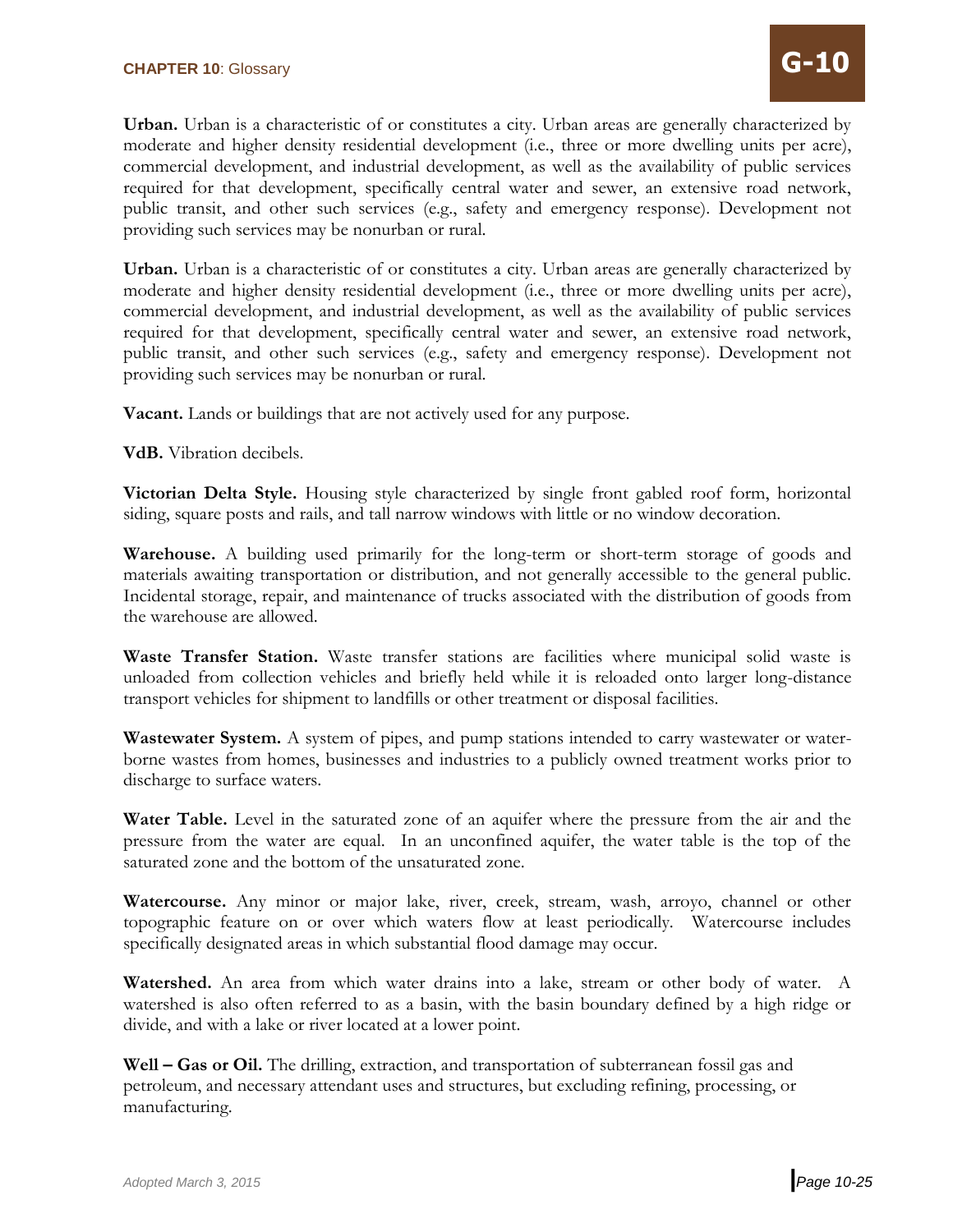**Urban.** Urban is a characteristic of or constitutes a city. Urban areas are generally characterized by moderate and higher density residential development (i.e., three or more dwelling units per acre), commercial development, and industrial development, as well as the availability of public services required for that development, specifically central water and sewer, an extensive road network, public transit, and other such services (e.g., safety and emergency response). Development not providing such services may be nonurban or rural.

**Urban.** Urban is a characteristic of or constitutes a city. Urban areas are generally characterized by moderate and higher density residential development (i.e., three or more dwelling units per acre), commercial development, and industrial development, as well as the availability of public services required for that development, specifically central water and sewer, an extensive road network, public transit, and other such services (e.g., safety and emergency response). Development not providing such services may be nonurban or rural.

**Vacant.** Lands or buildings that are not actively used for any purpose.

**VdB.** Vibration decibels.

**Victorian Delta Style.** Housing style characterized by single front gabled roof form, horizontal siding, square posts and rails, and tall narrow windows with little or no window decoration.

**Warehouse.** A building used primarily for the long-term or short-term storage of goods and materials awaiting transportation or distribution, and not generally accessible to the general public. Incidental storage, repair, and maintenance of trucks associated with the distribution of goods from the warehouse are allowed.

**Waste Transfer Station.** Waste transfer stations are facilities where municipal solid waste is unloaded from collection vehicles and briefly held while it is reloaded onto larger long-distance transport vehicles for shipment to landfills or other treatment or disposal facilities.

**Wastewater System.** A system of pipes, and pump stations intended to carry wastewater or waterborne wastes from homes, businesses and industries to a publicly owned treatment works prior to discharge to surface waters.

**Water Table.** Level in the saturated zone of an aquifer where the pressure from the air and the pressure from the water are equal. In an unconfined aquifer, the water table is the top of the saturated zone and the bottom of the unsaturated zone.

**Watercourse.** Any minor or major lake, river, creek, stream, wash, arroyo, channel or other topographic feature on or over which waters flow at least periodically. Watercourse includes specifically designated areas in which substantial flood damage may occur.

**Watershed.** An area from which water drains into a lake, stream or other body of water. A watershed is also often referred to as a basin, with the basin boundary defined by a high ridge or divide, and with a lake or river located at a lower point.

**Well – Gas or Oil.** The drilling, extraction, and transportation of subterranean fossil gas and petroleum, and necessary attendant uses and structures, but excluding refining, processing, or manufacturing.